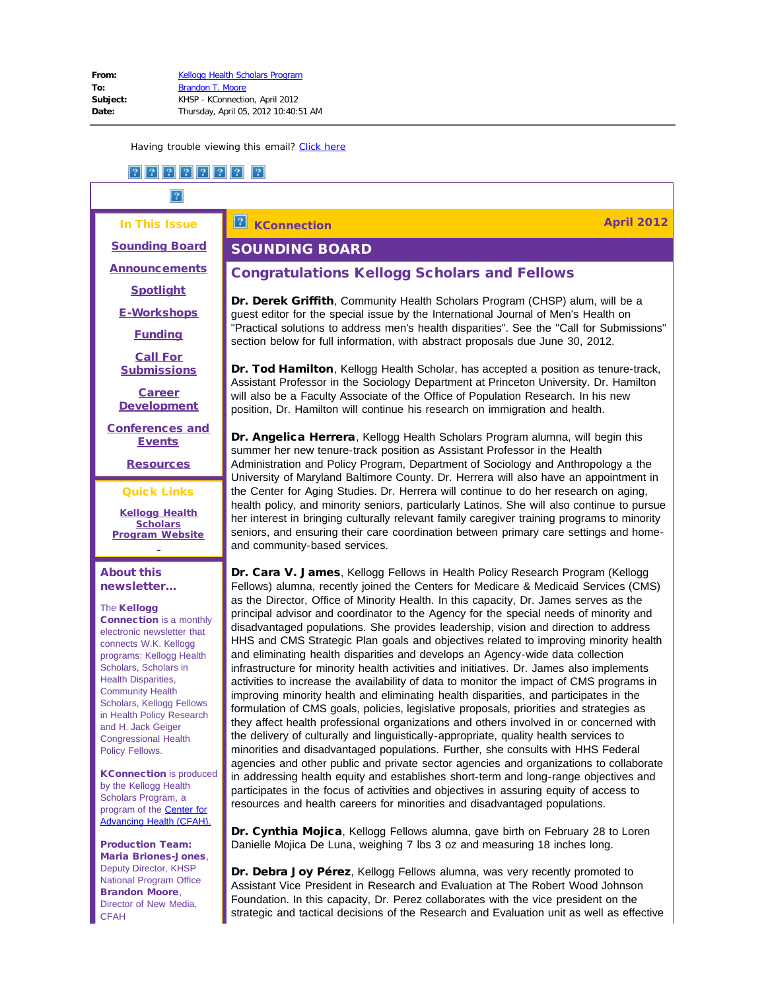<span id="page-0-0"></span>In This Issue [Sounding Board](#page-0-0) **[Announcements](#page-1-0) [Spotlight](#page-1-1)** [E-Workshops](#page-2-0)

**[Funding](#page-2-1)** 

[Call For](#page-4-0) **[Submissions](#page-4-0)** 

[Career](#page-7-0) **[Development](#page-7-0)** 

<span id="page-0-1"></span>[Conferences and](#page-20-0) **[Events](#page-20-0)** 

[Resources](#page-27-0)

#### Quick Links

**[Kellogg Health](http://r20.rs6.net/tn.jsp?e=001Fwvq76TjjpAmkxWmxCt57EJ8MT1E9DeY0gQoWX1SCyt3jzy6u8pcRnDJOCltTRdC6D8QNisEjw9_xgK0GPdCxhCAN8qFmS7k4KxUH6wHurQqmS35IDqPr6GANY_yBLHD) [Scholars](http://r20.rs6.net/tn.jsp?e=001Fwvq76TjjpAmkxWmxCt57EJ8MT1E9DeY0gQoWX1SCyt3jzy6u8pcRnDJOCltTRdC6D8QNisEjw9_xgK0GPdCxhCAN8qFmS7k4KxUH6wHurQqmS35IDqPr6GANY_yBLHD) [Program](http://r20.rs6.net/tn.jsp?e=001Fwvq76TjjpAmkxWmxCt57EJ8MT1E9DeY0gQoWX1SCyt3jzy6u8pcRnDJOCltTRdC6D8QNisEjw9_xgK0GPdCxhCAN8qFmS7k4KxUH6wHurQqmS35IDqPr6GANY_yBLHD) Website**

# About this newsletter...

#### The Kellogg

Connection is a monthly electronic newsletter that connects W.K. Kellogg programs: Kellogg Health Scholars, Scholars in Health Disparities, Community Health Scholars, Kellogg Fellows in Health Policy Research and H. Jack Geiger Congressional Health Policy Fellows.

**KConnection** is produced by the Kellogg Health Scholars Program, a program of the [Center for](http://r20.rs6.net/tn.jsp?e=001Fwvq76TjjpBZq7ZjhDVMSe44hk81w5bn1rjXp69OU5GpuxT9VCvGcnb1PZRETPbmvmajuLlGK3ElmdVVREadwupv4G26qK-j-qm8UtQmh2w=) [Advancing Health \(CFAH\).](http://r20.rs6.net/tn.jsp?e=001Fwvq76TjjpBZq7ZjhDVMSe44hk81w5bn1rjXp69OU5GpuxT9VCvGcnb1PZRETPbmvmajuLlGK3ElmdVVREadwupv4G26qK-j-qm8UtQmh2w=)

Production Team: Maria Briones-Jones, Deputy Director, KHSP National Program Office Brandon Moore, Director of New Media, **CFAH** 

#### $\vert$  ? **KConnection April 2012**

# SOUNDING BOARD

# Congratulations Kellogg Scholars and Fellows

Dr. Derek Griffith, Community Health Scholars Program (CHSP) alum, will be a guest editor for the special issue by the International Journal of Men's Health on "Practical solutions to address men's health disparities". See the "Call for Submissions" section below for full information, with abstract proposals due June 30, 2012.

Dr. Tod Hamilton, Kellogg Health Scholar, has accepted a position as tenure-track, Assistant Professor in the Sociology Department at Princeton University. Dr. Hamilton will also be a Faculty Associate of the Office of Population Research. In his new position, Dr. Hamilton will continue his research on immigration and health.

Dr. Angelica Herrera, Kellogg Health Scholars Program alumna, will begin this summer her new tenure-track position as Assistant Professor in the Health Administration and Policy Program, Department of Sociology and Anthropology a the University of Maryland Baltimore County. Dr. Herrera will also have an appointment in the Center for Aging Studies. Dr. Herrera will continue to do her research on aging, health policy, and minority seniors, particularly Latinos. She will also continue to pursue her interest in bringing culturally relevant family caregiver training programs to minority seniors, and ensuring their care coordination between primary care settings and homeand community-based services.

Dr. Cara V. James, Kellogg Fellows in Health Policy Research Program (Kellogg) Fellows) alumna, recently joined the Centers for Medicare & Medicaid Services (CMS) as the Director, Office of Minority Health. In this capacity, Dr. James serves as the principal advisor and coordinator to the Agency for the special needs of minority and disadvantaged populations. She provides leadership, vision and direction to address HHS and CMS Strategic Plan goals and objectives related to improving minority health and eliminating health disparities and develops an Agency-wide data collection infrastructure for minority health activities and initiatives. Dr. James also implements activities to increase the availability of data to monitor the impact of CMS programs in improving minority health and eliminating health disparities, and participates in the formulation of CMS goals, policies, legislative proposals, priorities and strategies as they affect health professional organizations and others involved in or concerned with the delivery of culturally and linguistically-appropriate, quality health services to minorities and disadvantaged populations. Further, she consults with HHS Federal agencies and other public and private sector agencies and organizations to collaborate in addressing health equity and establishes short-term and long-range objectives and participates in the focus of activities and objectives in assuring equity of access to resources and health careers for minorities and disadvantaged populations.

Dr. Cynthia Mojica, Kellogg Fellows alumna, gave birth on February 28 to Loren Danielle Mojica De Luna, weighing 7 lbs 3 oz and measuring 18 inches long.

Dr. Debra Joy Pérez, Kellogg Fellows alumna, was very recently promoted to Assistant Vice President in Research and Evaluation at The Robert Wood Johnson Foundation. In this capacity, Dr. Perez collaborates with the vice president on the strategic and tactical decisions of the Research and Evaluation unit as well as effective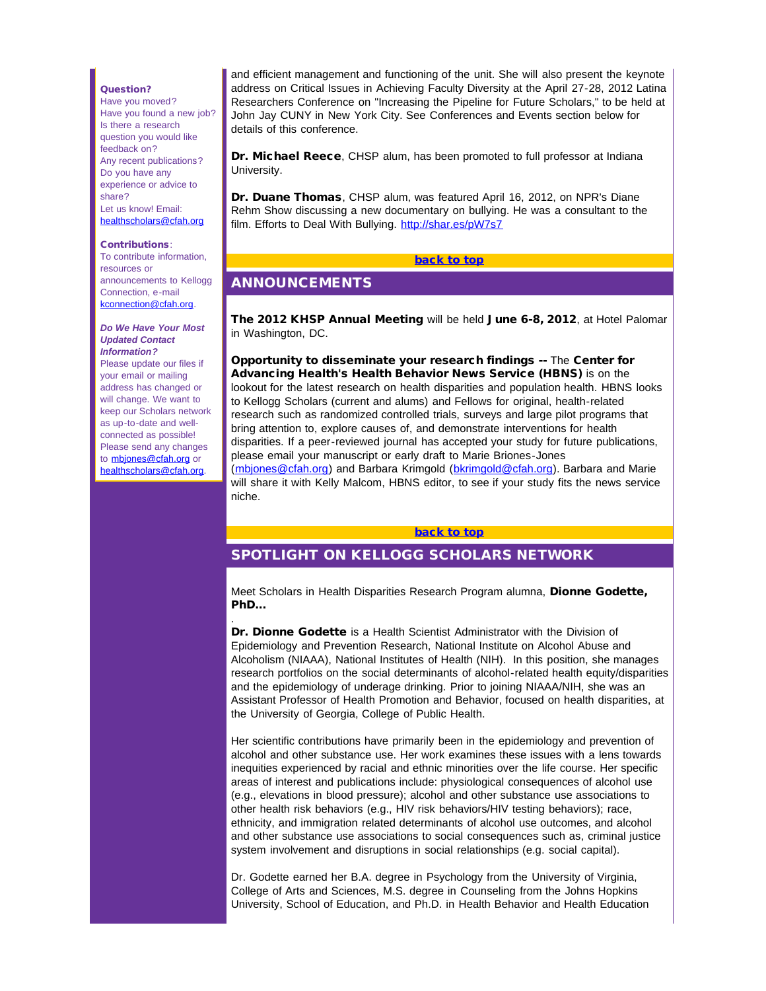### <span id="page-1-0"></span>Question?

Have you moved? Have you found a new job? Is there a research question you would like feedback on? Any recent publications? Do you have any experience or advice to share? Let us know! Email: [healthscholars@cfah.org](mailto:healthscholars@cfah.org)

#### Contributions:

To contribute information, resources or announcements to Kellogg Connection, e-mail [kconnection@cfah.org.](mailto:kconnection@cfah.org)

#### <span id="page-1-1"></span>*Do We Have Your Most Updated Contact Information?*

Please update our files if your email or mailing address has changed or will change. We want to keep our Scholars network as up-to-date and wellconnected as possible! Please send any changes to mbiones@cfah.org or [healthscholars@cfah.org](mailto:healthscholars@cfah.org).

.

and efficient management and functioning of the unit. She will also present the keynote address on Critical Issues in Achieving Faculty Diversity at the April 27-28, 2012 Latina Researchers Conference on "Increasing the Pipeline for Future Scholars," to be held at John Jay CUNY in New York City. See Conferences and Events section below for details of this conference.

Dr. Michael Reece, CHSP alum, has been promoted to full professor at Indiana University.

Dr. Duane Thomas, CHSP alum, was featured April 16, 2012, on NPR's Diane Rehm Show discussing a new documentary on bullying. He was a consultant to the film. Efforts to Deal With Bullying. [http://shar.es/pW7s7](http://r20.rs6.net/tn.jsp?e=001Fwvq76TjjpDsJV_2L1RX9HYoRi4Hg46R-0aXqhp8PD21Iq-0jIZT0uUZnBGfIY8qa3T8eS2zV4hlkdQLwnkLvfDH3zJUdLVeS5OutVGRMMM=)

#### [back to top](#page-0-1)

# ANNOUNCEMENTS

The 2012 KHSP Annual Meeting will be held June 6-8, 2012, at Hotel Palomar in Washington, DC.

Opportunity to disseminate your research findings -- The Center for Advancing Health's Health Behavior News Service (HBNS) is on the lookout for the latest research on health disparities and population health. HBNS looks to Kellogg Scholars (current and alums) and Fellows for original, health-related research such as randomized controlled trials, surveys and large pilot programs that bring attention to, explore causes of, and demonstrate interventions for health disparities. If a peer-reviewed journal has accepted your study for future publications, please email your manuscript or early draft to Marie Briones-Jones ([mbjones@cfah.org\)](mailto:mbjones@cfah.org) and Barbara Krimgold ([bkrimgold@cfah.org](mailto:bkrimgold@cfah.org)). Barbara and Marie will share it with Kelly Malcom, HBNS editor, to see if your study fits the news service niche.

#### [back to top](#page-0-1)

# SPOTLIGHT ON KELLOGG SCHOLARS NETWORK

Meet Scholars in Health Disparities Research Program alumna, Dionne Godette, PhD...

Dr. Dionne Godette is a Health Scientist Administrator with the Division of Epidemiology and Prevention Research, National Institute on Alcohol Abuse and Alcoholism (NIAAA), National Institutes of Health (NIH). In this position, she manages research portfolios on the social determinants of alcohol-related health equity/disparities and the epidemiology of underage drinking. Prior to joining NIAAA/NIH, she was an Assistant Professor of Health Promotion and Behavior, focused on health disparities, at the University of Georgia, College of Public Health.

Her scientific contributions have primarily been in the epidemiology and prevention of alcohol and other substance use. Her work examines these issues with a lens towards inequities experienced by racial and ethnic minorities over the life course. Her specific areas of interest and publications include: physiological consequences of alcohol use (e.g., elevations in blood pressure); alcohol and other substance use associations to other health risk behaviors (e.g., HIV risk behaviors/HIV testing behaviors); race, ethnicity, and immigration related determinants of alcohol use outcomes, and alcohol and other substance use associations to social consequences such as, criminal justice system involvement and disruptions in social relationships (e.g. social capital).

Dr. Godette earned her B.A. degree in Psychology from the University of Virginia, College of Arts and Sciences, M.S. degree in Counseling from the Johns Hopkins University, School of Education, and Ph.D. in Health Behavior and Health Education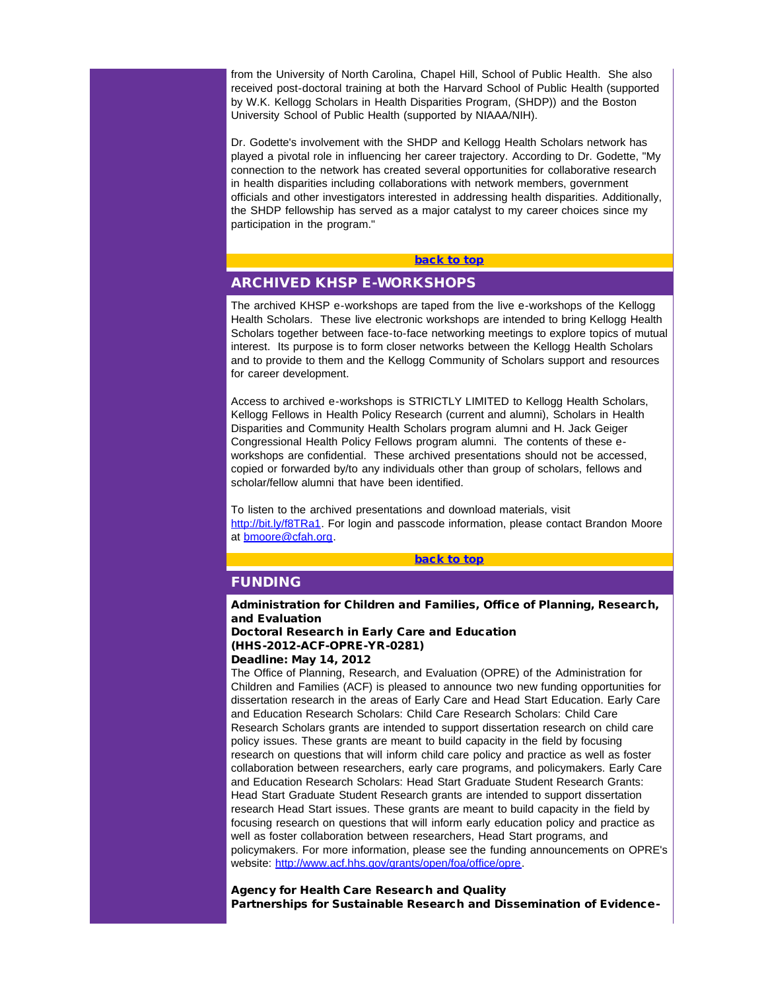<span id="page-2-0"></span>from the University of North Carolina, Chapel Hill, School of Public Health. She also received post-doctoral training at both the Harvard School of Public Health (supported by W.K. Kellogg Scholars in Health Disparities Program, (SHDP)) and the Boston University School of Public Health (supported by NIAAA/NIH).

Dr. Godette's involvement with the SHDP and Kellogg Health Scholars network has played a pivotal role in influencing her career trajectory. According to Dr. Godette, "My connection to the network has created several opportunities for collaborative research in health disparities including collaborations with network members, government officials and other investigators interested in addressing health disparities. Additionally, the SHDP fellowship has served as a major catalyst to my career choices since my participation in the program."

#### [back to top](#page-0-1)

# ARCHIVED KHSP E-WORKSHOPS

The archived KHSP e-workshops are taped from the live e-workshops of the Kellogg Health Scholars. These live electronic workshops are intended to bring Kellogg Health Scholars together between face-to-face networking meetings to explore topics of mutual interest. Its purpose is to form closer networks between the Kellogg Health Scholars and to provide to them and the Kellogg Community of Scholars support and resources for career development.

<span id="page-2-1"></span>Access to archived e-workshops is STRICTLY LIMITED to Kellogg Health Scholars, Kellogg Fellows in Health Policy Research (current and alumni), Scholars in Health Disparities and Community Health Scholars program alumni and H. Jack Geiger Congressional Health Policy Fellows program alumni. The contents of these eworkshops are confidential. These archived presentations should not be accessed, copied or forwarded by/to any individuals other than group of scholars, fellows and scholar/fellow alumni that have been identified.

To listen to the archived presentations and download materials, visit [http://bit.ly/f8TRa1.](http://r20.rs6.net/tn.jsp?e=001Fwvq76TjjpAjMXJlsRoib-dVOWSdzL09dxEwWYoWn4vDvrrpS9I2h-5vW0a4dCKUifAvbz7lVVJKiORzNquKgOtR3Spf6PYhqPUFGjRJL38tvbYMcz1X8BZTWGtrBCpIyt03r6xrr0I=) For login and passcode information, please contact Brandon Moore at [bmoore@cfah.org](mailto:bmoore@cfah.org).

#### [back to top](#page-0-1)

# FUNDING

### Administration for Children and Families, Office of Planning, Research, and Evaluation

# Doctoral Research in Early Care and Education (HHS-2012-ACF-OPRE-YR-0281)

#### Deadline: May 14, 2012

The Office of Planning, Research, and Evaluation (OPRE) of the Administration for Children and Families (ACF) is pleased to announce two new funding opportunities for dissertation research in the areas of Early Care and Head Start Education. Early Care and Education Research Scholars: Child Care Research Scholars: Child Care Research Scholars grants are intended to support dissertation research on child care policy issues. These grants are meant to build capacity in the field by focusing research on questions that will inform child care policy and practice as well as foster collaboration between researchers, early care programs, and policymakers. Early Care and Education Research Scholars: Head Start Graduate Student Research Grants: Head Start Graduate Student Research grants are intended to support dissertation research Head Start issues. These grants are meant to build capacity in the field by focusing research on questions that will inform early education policy and practice as well as foster collaboration between researchers, Head Start programs, and policymakers. For more information, please see the funding announcements on OPRE's website: [http://www.acf.hhs.gov/grants/open/foa/office/opre](http://r20.rs6.net/tn.jsp?et=1109622784655&s=1015&e=001c3iitatgx3VZY8ooutfJc28z-yokj6IazjjGDQmxzJhm2ELr86cTISkzaENTDOOvmltxtcL_bUKMctyuX4Lg8MyQXKJVQ7c40RSt7Rwj5wvTkNRNQnLzUHw0VN4ntL6I_GD-ee6UUca0qMBAr2CUKU_8fTS-VnPT).

Agency for Health Care Research and Quality Partnerships for Sustainable Research and Dissemination of Evidence-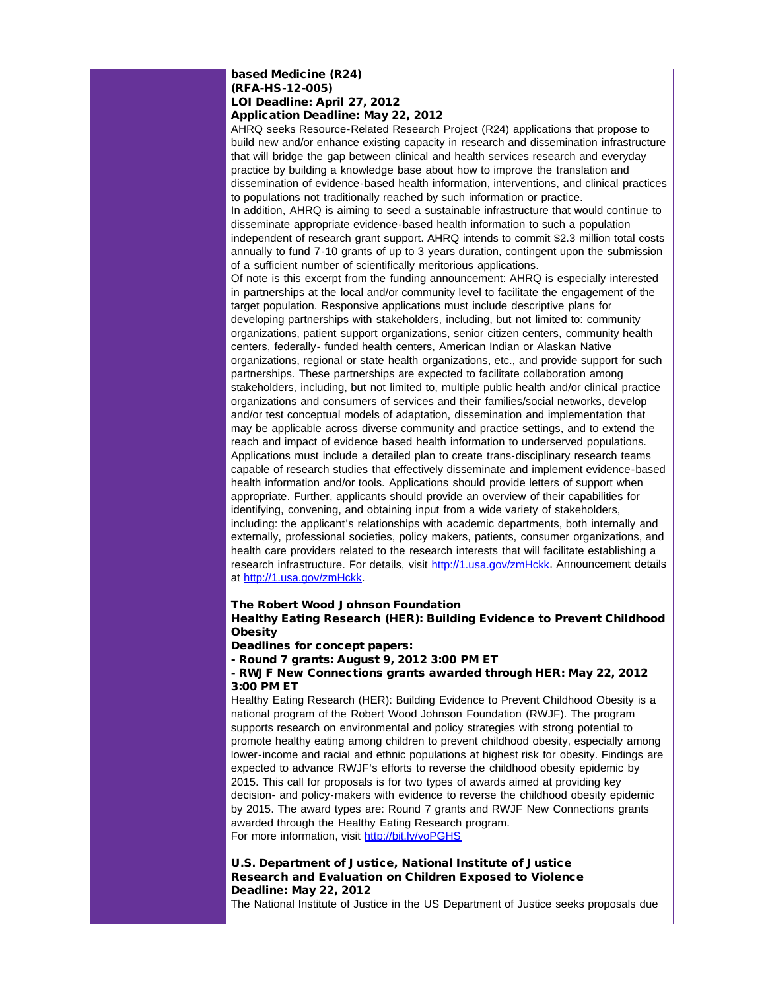### based Medicine (R24) (RFA-HS-12-005) LOI Deadline: April 27, 2012 Application Deadline: May 22, 2012

AHRQ seeks Resource-Related Research Project (R24) applications that propose to build new and/or enhance existing capacity in research and dissemination infrastructure that will bridge the gap between clinical and health services research and everyday practice by building a knowledge base about how to improve the translation and dissemination of evidence-based health information, interventions, and clinical practices to populations not traditionally reached by such information or practice. In addition, AHRQ is aiming to seed a sustainable infrastructure that would continue to disseminate appropriate evidence-based health information to such a population independent of research grant support. AHRQ intends to commit \$2.3 million total costs annually to fund 7-10 grants of up to 3 years duration, contingent upon the submission of a sufficient number of scientifically meritorious applications. Of note is this excerpt from the funding announcement: AHRQ is especially interested in partnerships at the local and/or community level to facilitate the engagement of the target population. Responsive applications must include descriptive plans for developing partnerships with stakeholders, including, but not limited to: community organizations, patient support organizations, senior citizen centers, community health centers, federally- funded health centers, American Indian or Alaskan Native organizations, regional or state health organizations, etc., and provide support for such partnerships. These partnerships are expected to facilitate collaboration among stakeholders, including, but not limited to, multiple public health and/or clinical practice organizations and consumers of services and their families/social networks, develop and/or test conceptual models of adaptation, dissemination and implementation that may be applicable across diverse community and practice settings, and to extend the reach and impact of evidence based health information to underserved populations. Applications must include a detailed plan to create trans-disciplinary research teams capable of research studies that effectively disseminate and implement evidence-based health information and/or tools. Applications should provide letters of support when appropriate. Further, applicants should provide an overview of their capabilities for identifying, convening, and obtaining input from a wide variety of stakeholders, including: the applicant's relationships with academic departments, both internally and externally, professional societies, policy makers, patients, consumer organizations, and health care providers related to the research interests that will facilitate establishing a research infrastructure. For details, visit [http://1.usa.gov/zmHckk](http://r20.rs6.net/tn.jsp?t=yorpzpjab.0.ctyxzpjab.5gytkqcab.1&ts=S0753&p=http%3A%2F%2F1.usa.gov%2FzmHckk). Announcement details at [http://1.usa.gov/zmHckk](http://r20.rs6.net/tn.jsp?t=yorpzpjab.0.ctyxzpjab.5gytkqcab.1&ts=S0753&p=http%3A%2F%2F1.usa.gov%2FzmHckk).

# The Robert Wood Johnson Foundation

Healthy Eating Research (HER): Building Evidence to Prevent Childhood **Obesity** 

Deadlines for concept papers:

- Round 7 grants: August 9, 2012 3:00 PM ET

- RWJF New Connections grants awarded through HER: May 22, 2012 3:00 PM ET

Healthy Eating Research (HER): Building Evidence to Prevent Childhood Obesity is a national program of the Robert Wood Johnson Foundation (RWJF). The program supports research on environmental and policy strategies with strong potential to promote healthy eating among children to prevent childhood obesity, especially among lower-income and racial and ethnic populations at highest risk for obesity. Findings are expected to advance RWJF's efforts to reverse the childhood obesity epidemic by 2015. This call for proposals is for two types of awards aimed at providing key decision- and policy-makers with evidence to reverse the childhood obesity epidemic by 2015. The award types are: Round 7 grants and RWJF New Connections grants awarded through the Healthy Eating Research program. For more information, visit [http://bit.ly/yoPGHS](http://r20.rs6.net/tn.jsp?t=yorpzpjab.0.ftyxzpjab.5gytkqcab.1&ts=S0753&p=http%3A%2F%2Fbit.ly%2FyoPGHS)

U.S. Department of Justice, National Institute of Justice Research and Evaluation on Children Exposed to Violence Deadline: May 22, 2012

The National Institute of Justice in the US Department of Justice seeks proposals due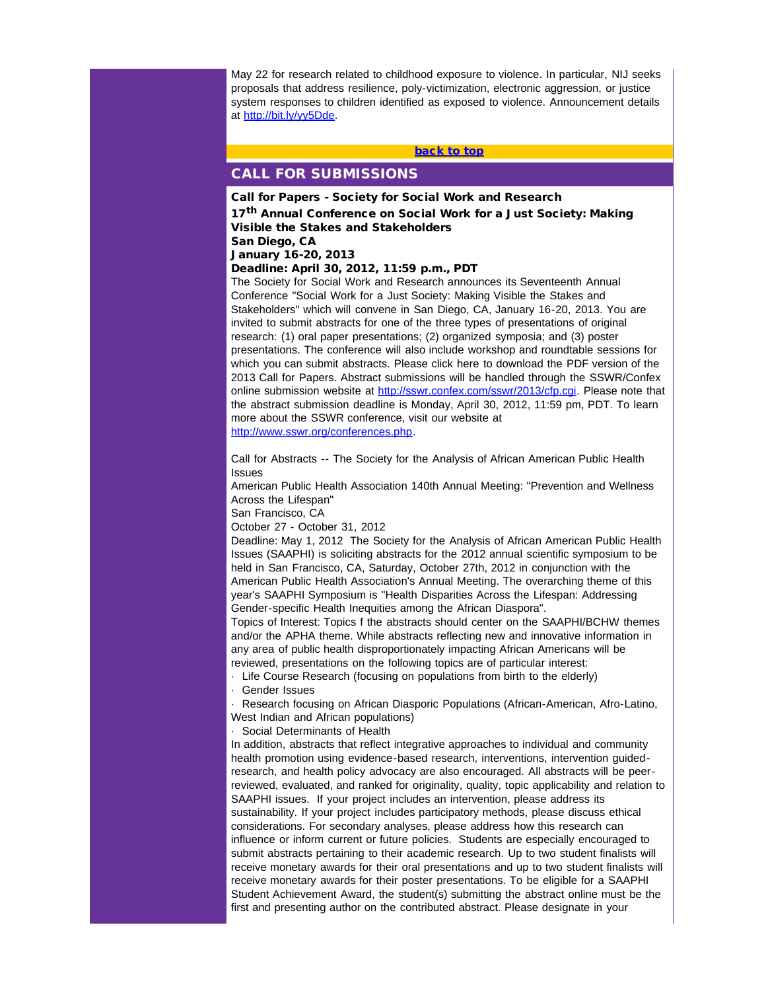<span id="page-4-0"></span>May 22 for research related to childhood exposure to violence. In particular, NIJ seeks proposals that address resilience, poly-victimization, electronic aggression, or justice system responses to children identified as exposed to violence. Announcement details at [http://bit.ly/yy5Dde.](http://r20.rs6.net/tn.jsp?t=yorpzpjab.0.gtyxzpjab.5gytkqcab.1&ts=S0753&p=http%3A%2F%2Fbit.ly%2Fyy5Dde)

#### [back to top](#page-0-1)

# CALL FOR SUBMISSIONS

### Call for Papers - Society for Social Work and Research

17<sup>th</sup> Annual Conference on Social Work for a Just Society: Making Visible the Stakes and Stakeholders San Diego, CA

January 16-20, 2013

Deadline: April 30, 2012, 11:59 p.m., PDT

The Society for Social Work and Research announces its Seventeenth Annual Conference "Social Work for a Just Society: Making Visible the Stakes and Stakeholders" which will convene in San Diego, CA, January 16-20, 2013. You are invited to submit abstracts for one of the three types of presentations of original research: (1) oral paper presentations; (2) organized symposia; and (3) poster presentations. The conference will also include workshop and roundtable sessions for which you can submit abstracts. Please click here to download the PDF version of the 2013 Call for Papers. Abstract submissions will be handled through the SSWR/Confex online submission website at [http://sswr.confex.com/sswr/2013/cfp.cgi](http://r20.rs6.net/tn.jsp?t=yorpzpjab.0.mtyxzpjab.5gytkqcab.1&ts=S0753&p=http%3A%2F%2Fsswr.confex.com%2Fsswr%2F2013%2Fcfp.cgi). Please note that the abstract submission deadline is Monday, April 30, 2012, 11:59 pm, PDT. To learn more about the SSWR conference, visit our website at [http://www.sswr.org/conferences.php](http://r20.rs6.net/tn.jsp?et=1109622784655&s=1015&e=001c3iitatgx3VoMD85LW4Nc02SAB7ycfLlaXF2FxCuudwr3agXmfNSsZr9_F6QxcUwNoCtFgYXecNn-TuU4YYSPkQ8YSIVPOBfyJhW4U95ODnLA8k3i06SWMImwSTtuZ6l).

Call for Abstracts -- The Society for the Analysis of African American Public Health Issues

American Public Health Association 140th Annual Meeting: "Prevention and Wellness Across the Lifespan"

San Francisco, CA

October 27 - October 31, 2012

Deadline: May 1, 2012 The Society for the Analysis of African American Public Health Issues (SAAPHI) is soliciting abstracts for the 2012 annual scientific symposium to be held in San Francisco, CA, Saturday, October 27th, 2012 in conjunction with the American Public Health Association's Annual Meeting. The overarching theme of this year's SAAPHI Symposium is "Health Disparities Across the Lifespan: Addressing Gender-specific Health Inequities among the African Diaspora".

Topics of Interest: Topics f the abstracts should center on the SAAPHI/BCHW themes and/or the APHA theme. While abstracts reflecting new and innovative information in any area of public health disproportionately impacting African Americans will be reviewed, presentations on the following topics are of particular interest:

· Life Course Research (focusing on populations from birth to the elderly)

· Gender Issues

· Research focusing on African Diasporic Populations (African-American, Afro-Latino, West Indian and African populations)

· Social Determinants of Health

In addition, abstracts that reflect integrative approaches to individual and community health promotion using evidence-based research, interventions, intervention guidedresearch, and health policy advocacy are also encouraged. All abstracts will be peerreviewed, evaluated, and ranked for originality, quality, topic applicability and relation to SAAPHI issues. If your project includes an intervention, please address its sustainability. If your project includes participatory methods, please discuss ethical considerations. For secondary analyses, please address how this research can influence or inform current or future policies. Students are especially encouraged to submit abstracts pertaining to their academic research. Up to two student finalists will receive monetary awards for their oral presentations and up to two student finalists will receive monetary awards for their poster presentations. To be eligible for a SAAPHI Student Achievement Award, the student(s) submitting the abstract online must be the first and presenting author on the contributed abstract. Please designate in your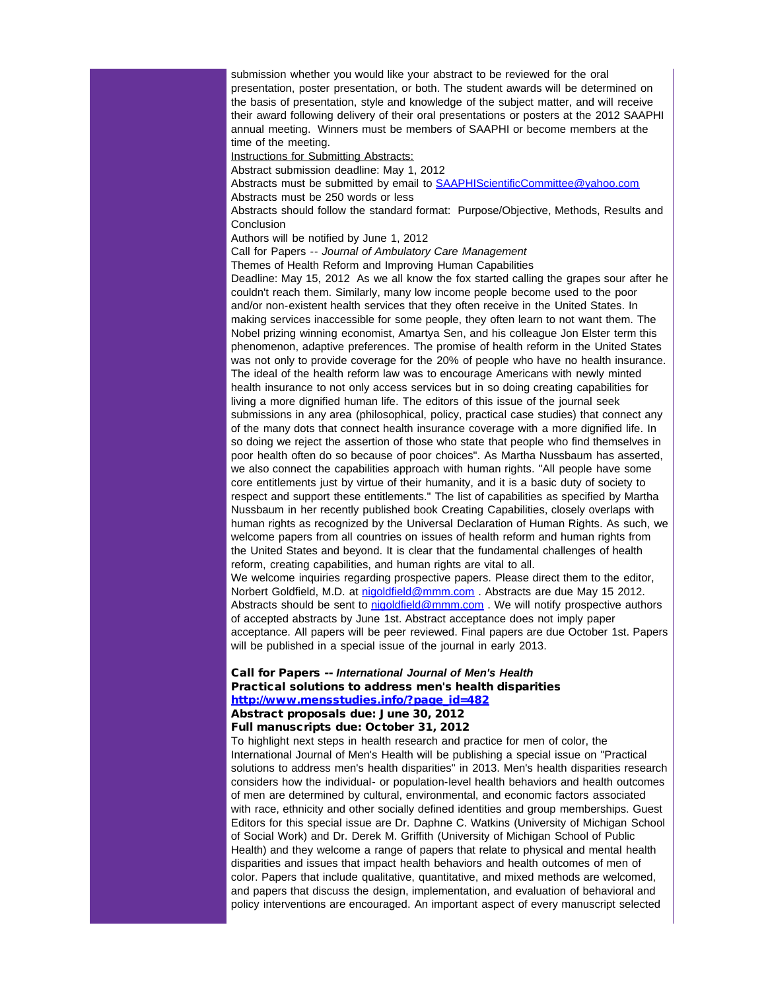submission whether you would like your abstract to be reviewed for the oral presentation, poster presentation, or both. The student awards will be determined on the basis of presentation, style and knowledge of the subject matter, and will receive their award following delivery of their oral presentations or posters at the 2012 SAAPHI annual meeting. Winners must be members of SAAPHI or become members at the time of the meeting.

Instructions for Submitting Abstracts:

Abstract submission deadline: May 1, 2012

Abstracts must be submitted by email to **SAAPHIScientificCommittee@yahoo.com** Abstracts must be 250 words or less

Abstracts should follow the standard format: Purpose/Objective, Methods, Results and **Conclusion** 

Authors will be notified by June 1, 2012

Call for Papers -- *Journal of Ambulatory Care Management*

Themes of Health Reform and Improving Human Capabilities

Deadline: May 15, 2012 As we all know the fox started calling the grapes sour after he couldn't reach them. Similarly, many low income people become used to the poor and/or non-existent health services that they often receive in the United States. In making services inaccessible for some people, they often learn to not want them. The Nobel prizing winning economist, Amartya Sen, and his colleague Jon Elster term this phenomenon, adaptive preferences. The promise of health reform in the United States was not only to provide coverage for the 20% of people who have no health insurance. The ideal of the health reform law was to encourage Americans with newly minted health insurance to not only access services but in so doing creating capabilities for living a more dignified human life. The editors of this issue of the journal seek submissions in any area (philosophical, policy, practical case studies) that connect any of the many dots that connect health insurance coverage with a more dignified life. In so doing we reject the assertion of those who state that people who find themselves in poor health often do so because of poor choices". As Martha Nussbaum has asserted, we also connect the capabilities approach with human rights. "All people have some core entitlements just by virtue of their humanity, and it is a basic duty of society to respect and support these entitlements." The list of capabilities as specified by Martha Nussbaum in her recently published book Creating Capabilities, closely overlaps with human rights as recognized by the Universal Declaration of Human Rights. As such, we welcome papers from all countries on issues of health reform and human rights from the United States and beyond. It is clear that the fundamental challenges of health reform, creating capabilities, and human rights are vital to all. We welcome inquiries regarding prospective papers. Please direct them to the editor, Norbert Goldfield, M.D. at [nigoldfield@mmm.com](mailto:nigoldfield@mmm.com) . Abstracts are due May 15 2012.

Abstracts should be sent to [nigoldfield@mmm.com](mailto:nigoldfield@mmm.com). We will notify prospective authors of accepted abstracts by June 1st. Abstract acceptance does not imply paper acceptance. All papers will be peer reviewed. Final papers are due October 1st. Papers will be published in a special issue of the journal in early 2013.

# Call for Papers -- *International Journal of Men's Health* Practical solutions to address men's health disparities [http://www.mensstudies.info/?page\\_id=482](http://r20.rs6.net/tn.jsp?t=yorpzpjab.0.ntyxzpjab.5gytkqcab.1&ts=S0753&p=http%3A%2F%2Fwww.mensstudies.info%2F%3Fpage_id%3D482)

# Abstract proposals due: June 30, 2012

# Full manuscripts due: October 31, 2012

To highlight next steps in health research and practice for men of color, the International Journal of Men's Health will be publishing a special issue on "Practical solutions to address men's health disparities" in 2013. Men's health disparities research considers how the individual- or population-level health behaviors and health outcomes of men are determined by cultural, environmental, and economic factors associated with race, ethnicity and other socially defined identities and group memberships. Guest Editors for this special issue are Dr. Daphne C. Watkins (University of Michigan School of Social Work) and Dr. Derek M. Griffith (University of Michigan School of Public Health) and they welcome a range of papers that relate to physical and mental health disparities and issues that impact health behaviors and health outcomes of men of color. Papers that include qualitative, quantitative, and mixed methods are welcomed, and papers that discuss the design, implementation, and evaluation of behavioral and policy interventions are encouraged. An important aspect of every manuscript selected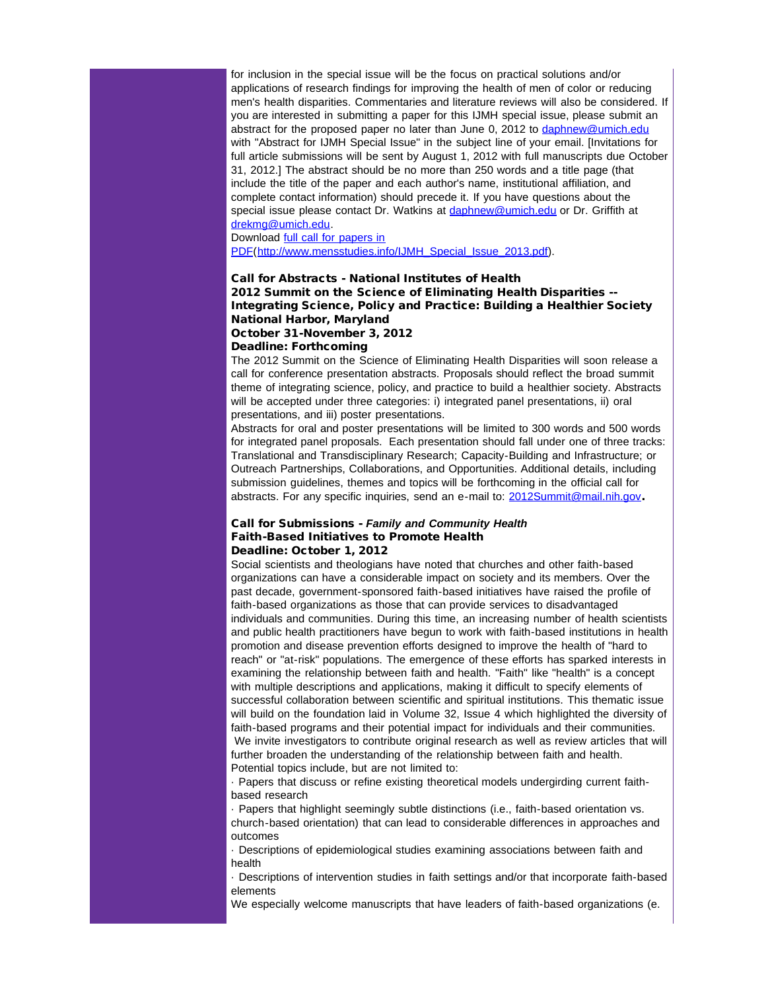for inclusion in the special issue will be the focus on practical solutions and/or applications of research findings for improving the health of men of color or reducing men's health disparities. Commentaries and literature reviews will also be considered. If you are interested in submitting a paper for this IJMH special issue, please submit an abstract for the proposed paper no later than June 0, 2012 to [daphnew@umich.edu](mailto:daphnew@umich.edu) with "Abstract for IJMH Special Issue" in the subject line of your email. [Invitations for full article submissions will be sent by August 1, 2012 with full manuscripts due October 31, 2012.] The abstract should be no more than 250 words and a title page (that include the title of the paper and each author's name, institutional affiliation, and complete contact information) should precede it. If you have questions about the special issue please contact Dr. Watkins at [daphnew@umich.edu](mailto:daphnew@umich.edu) or Dr. Griffith at [drekmg@umich.edu](mailto:drekmg@umich.edu).

Download [full call for papers in](http://r20.rs6.net/tn.jsp?t=yorpzpjab.0.otyxzpjab.5gytkqcab.1&ts=S0753&p=http%3A%2F%2Fwww.mensstudies.info%2FIJMH_Special_Issue_2013.pdf) [PDF\(http://www.mensstudies.info/IJMH\\_Special\\_Issue\\_2013.pdf](http://r20.rs6.net/tn.jsp?t=yorpzpjab.0.otyxzpjab.5gytkqcab.1&ts=S0753&p=http%3A%2F%2Fwww.mensstudies.info%2FIJMH_Special_Issue_2013.pdf)).

# Call for Abstracts - National Institutes of Health 2012 Summit on the Science of Eliminating Health Disparities -- Integrating Science, Policy and Practice: Building a Healthier Society National Harbor, Maryland October 31-November 3, 2012

# Deadline: Forthcoming

The 2012 Summit on the Science of Eliminating Health Disparities will soon release a call for conference presentation abstracts. Proposals should reflect the broad summit theme of integrating science, policy, and practice to build a healthier society. Abstracts will be accepted under three categories: i) integrated panel presentations, ii) oral presentations, and iii) poster presentations.

Abstracts for oral and poster presentations will be limited to 300 words and 500 words for integrated panel proposals. Each presentation should fall under one of three tracks: Translational and Transdisciplinary Research; Capacity-Building and Infrastructure; or Outreach Partnerships, Collaborations, and Opportunities. Additional details, including submission guidelines, themes and topics will be forthcoming in the official call for abstracts. For any specific inquiries, send an e-mail to: [2012Summit@mail.nih.gov](mailto:2012Summit@mail.nih.gov).

# Call for Submissions - *Family and Community Health* Faith-Based Initiatives to Promote Health Deadline: October 1, 2012

Social scientists and theologians have noted that churches and other faith-based organizations can have a considerable impact on society and its members. Over the past decade, government-sponsored faith-based initiatives have raised the profile of faith-based organizations as those that can provide services to disadvantaged individuals and communities. During this time, an increasing number of health scientists and public health practitioners have begun to work with faith-based institutions in health promotion and disease prevention efforts designed to improve the health of "hard to reach" or "at-risk" populations. The emergence of these efforts has sparked interests in examining the relationship between faith and health. "Faith" like "health" is a concept with multiple descriptions and applications, making it difficult to specify elements of successful collaboration between scientific and spiritual institutions. This thematic issue will build on the foundation laid in Volume 32, Issue 4 which highlighted the diversity of faith-based programs and their potential impact for individuals and their communities. We invite investigators to contribute original research as well as review articles that will further broaden the understanding of the relationship between faith and health. Potential topics include, but are not limited to:

· Papers that discuss or refine existing theoretical models undergirding current faithbased research

· Papers that highlight seemingly subtle distinctions (i.e., faith-based orientation vs. church-based orientation) that can lead to considerable differences in approaches and outcomes

· Descriptions of epidemiological studies examining associations between faith and health

· Descriptions of intervention studies in faith settings and/or that incorporate faith-based elements

We especially welcome manuscripts that have leaders of faith-based organizations (e.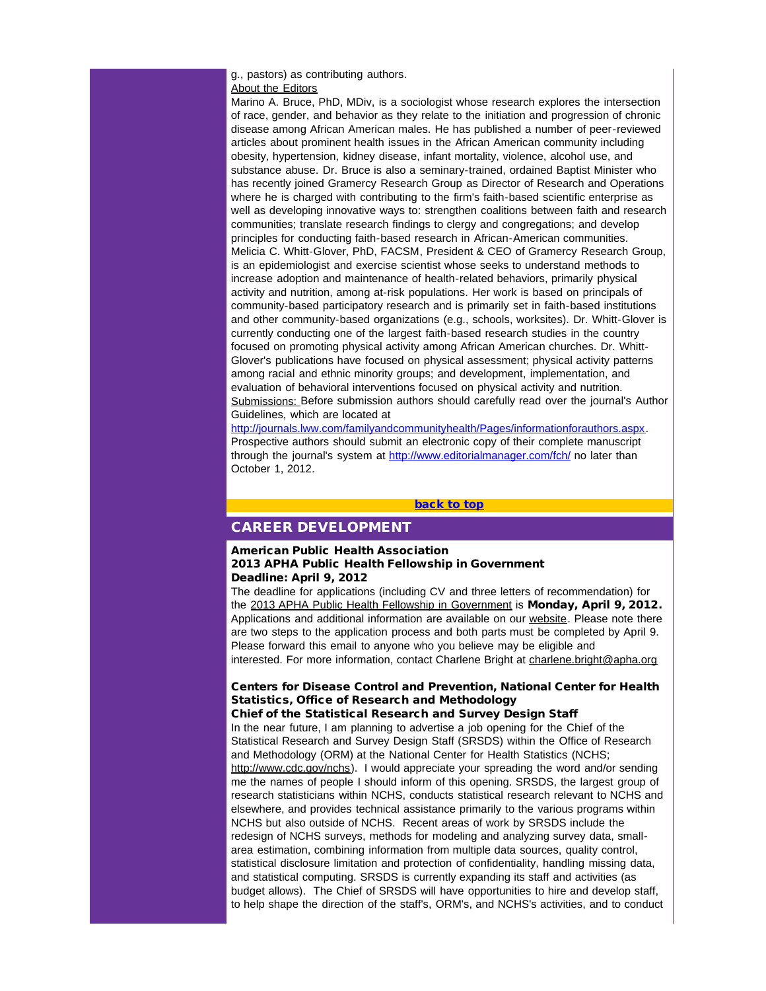# g., pastors) as contributing authors.

# About the Editors

Marino A. Bruce, PhD, MDiv, is a sociologist whose research explores the intersection of race, gender, and behavior as they relate to the initiation and progression of chronic disease among African American males. He has published a number of peer-reviewed articles about prominent health issues in the African American community including obesity, hypertension, kidney disease, infant mortality, violence, alcohol use, and substance abuse. Dr. Bruce is also a seminary-trained, ordained Baptist Minister who has recently joined Gramercy Research Group as Director of Research and Operations where he is charged with contributing to the firm's faith-based scientific enterprise as well as developing innovative ways to: strengthen coalitions between faith and research communities; translate research findings to clergy and congregations; and develop principles for conducting faith-based research in African-American communities. Melicia C. Whitt-Glover, PhD, FACSM, President & CEO of Gramercy Research Group, is an epidemiologist and exercise scientist whose seeks to understand methods to increase adoption and maintenance of health-related behaviors, primarily physical activity and nutrition, among at-risk populations. Her work is based on principals of community-based participatory research and is primarily set in faith-based institutions and other community-based organizations (e.g., schools, worksites). Dr. Whitt-Glover is currently conducting one of the largest faith-based research studies in the country focused on promoting physical activity among African American churches. Dr. Whitt-Glover's publications have focused on physical assessment; physical activity patterns among racial and ethnic minority groups; and development, implementation, and evaluation of behavioral interventions focused on physical activity and nutrition. Submissions: Before submission authors should carefully read over the journal's Author Guidelines, which are located at

<span id="page-7-0"></span>[http://journals.lww.com/familyandcommunityhealth/Pages/informationforauthors.aspx](http://r20.rs6.net/tn.jsp?t=yorpzpjab.0.ptyxzpjab.5gytkqcab.1&ts=S0753&p=http%3A%2F%2Fjournals.lww.com%2Ffamilyandcommunityhealth%2FPages%2Finformationforauthors.aspx). Prospective authors should submit an electronic copy of their complete manuscript through the journal's system at [http://www.editorialmanager.com/fch/](http://r20.rs6.net/tn.jsp?t=yorpzpjab.0.rtyxzpjab.5gytkqcab.1&ts=S0753&p=http%3A%2F%2Fwww.editorialmanager.com%2Ffch%2F) no later than October 1, 2012.

#### [back to top](#page-0-1)

# CAREER DEVELOPMENT

### American Public Health Association 2013 APHA Public Health Fellowship in Government Deadline: April 9, 2012

The deadline for applications (including CV and three letters of recommendation) for the [2013 APHA Public Health Fellowship in Government](http://r20.rs6.net/tn.jsp?t=yorpzpjab.0.vtyxzpjab.5gytkqcab.1&ts=S0753&p=http%3A%2F%2Faction.apha.org%2Fsite%2FR%3Fi%3DbZxUHOT2reRGlEGbwZwXpA) is Monday, April 9, 2012. Applications and additional information are available on our [website.](http://r20.rs6.net/tn.jsp?t=yorpzpjab.0.9tyxzpjab.5gytkqcab.1&ts=S0753&p=http%3A%2F%2Faction.apha.org%2Fsite%2FR%3Fi%3DLxNeZBy3dCXJXRM2oC33PQ) Please note there are two steps to the application process and both parts must be completed by April 9. Please forward this email to anyone who you believe may be eligible and interested. For more information, contact Charlene Bright at [charlene.bright@apha.org](mailto:charlene.bright@apha.org)

# Centers for Disease Control and Prevention, National Center for Health Statistics, Office of Research and Methodology

Chief of the Statistical Research and Survey Design Staff In the near future, I am planning to advertise a job opening for the Chief of the Statistical Research and Survey Design Staff (SRSDS) within the Office of Research and Methodology (ORM) at the National Center for Health Statistics (NCHS; [http://www.cdc.gov/nchs\)](http://r20.rs6.net/tn.jsp?t=yorpzpjab.0.5tyxzpjab.5gytkqcab.1&ts=S0753&p=http%3A%2F%2Fwww.cdc.gov%2Fnchs). I would appreciate your spreading the word and/or sending me the names of people I should inform of this opening. SRSDS, the largest group of research statisticians within NCHS, conducts statistical research relevant to NCHS and elsewhere, and provides technical assistance primarily to the various programs within NCHS but also outside of NCHS. Recent areas of work by SRSDS include the redesign of NCHS surveys, methods for modeling and analyzing survey data, smallarea estimation, combining information from multiple data sources, quality control, statistical disclosure limitation and protection of confidentiality, handling missing data, and statistical computing. SRSDS is currently expanding its staff and activities (as budget allows). The Chief of SRSDS will have opportunities to hire and develop staff, to help shape the direction of the staff's, ORM's, and NCHS's activities, and to conduct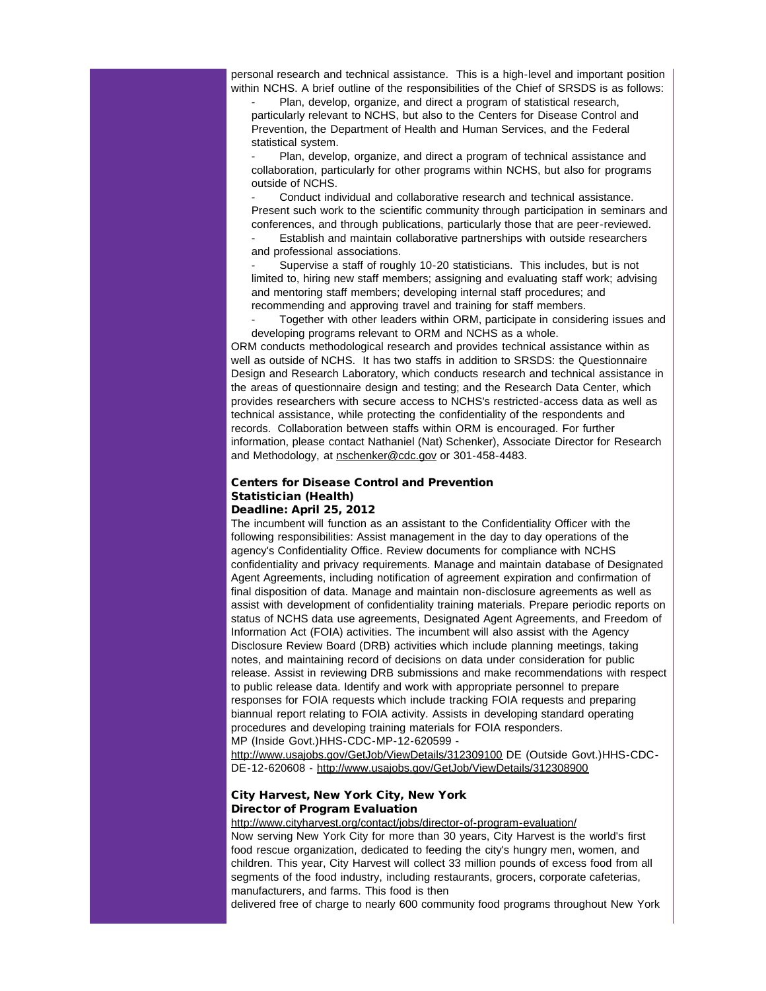personal research and technical assistance. This is a high-level and important position within NCHS. A brief outline of the responsibilities of the Chief of SRSDS is as follows:

Plan, develop, organize, and direct a program of statistical research, particularly relevant to NCHS, but also to the Centers for Disease Control and Prevention, the Department of Health and Human Services, and the Federal statistical system.

Plan, develop, organize, and direct a program of technical assistance and collaboration, particularly for other programs within NCHS, but also for programs outside of NCHS.

Conduct individual and collaborative research and technical assistance. Present such work to the scientific community through participation in seminars and conferences, and through publications, particularly those that are peer-reviewed.

Establish and maintain collaborative partnerships with outside researchers and professional associations.

Supervise a staff of roughly 10-20 statisticians. This includes, but is not limited to, hiring new staff members; assigning and evaluating staff work; advising and mentoring staff members; developing internal staff procedures; and recommending and approving travel and training for staff members.

Together with other leaders within ORM, participate in considering issues and developing programs relevant to ORM and NCHS as a whole.

ORM conducts methodological research and provides technical assistance within as well as outside of NCHS. It has two staffs in addition to SRSDS: the Questionnaire Design and Research Laboratory, which conducts research and technical assistance in the areas of questionnaire design and testing; and the Research Data Center, which provides researchers with secure access to NCHS's restricted-access data as well as technical assistance, while protecting the confidentiality of the respondents and records. Collaboration between staffs within ORM is encouraged. For further information, please contact Nathaniel (Nat) Schenker), Associate Director for Research and Methodology, at [nschenker@cdc.gov](mailto:nschenker@cdc.gov) or 301-458-4483.

### Centers for Disease Control and Prevention Statistician (Health) Deadline: April 25, 2012

The incumbent will function as an assistant to the Confidentiality Officer with the following responsibilities: Assist management in the day to day operations of the agency's Confidentiality Office. Review documents for compliance with NCHS confidentiality and privacy requirements. Manage and maintain database of Designated Agent Agreements, including notification of agreement expiration and confirmation of final disposition of data. Manage and maintain non-disclosure agreements as well as assist with development of confidentiality training materials. Prepare periodic reports on status of NCHS data use agreements, Designated Agent Agreements, and Freedom of Information Act (FOIA) activities. The incumbent will also assist with the Agency Disclosure Review Board (DRB) activities which include planning meetings, taking notes, and maintaining record of decisions on data under consideration for public release. Assist in reviewing DRB submissions and make recommendations with respect to public release data. Identify and work with appropriate personnel to prepare responses for FOIA requests which include tracking FOIA requests and preparing biannual report relating to FOIA activity. Assists in developing standard operating procedures and developing training materials for FOIA responders.

MP (Inside Govt.)HHS-CDC-MP-12-620599 -

[http://www.usajobs.gov/GetJob/ViewDetails/312309100](http://r20.rs6.net/tn.jsp?t=yorpzpjab.0.cuyxzpjab.5gytkqcab.1&ts=S0753&p=http%3A%2F%2Fwww.usajobs.gov%2FGetJob%2FViewDetails%2F312309100) DE (Outside Govt.)HHS-CDC-DE-12-620608 - [http://www.usajobs.gov/GetJob/ViewDetails/312308900](http://r20.rs6.net/tn.jsp?t=yorpzpjab.0.euyxzpjab.5gytkqcab.1&ts=S0753&p=http%3A%2F%2Fwww.usajobs.gov%2FGetJob%2FViewDetails%2F312308900)

# City Harvest, New York City, New York Director of Program Evaluation

[http://www.cityharvest.org/contact/jobs/director-of-program-evaluation/](http://r20.rs6.net/tn.jsp?t=yorpzpjab.0.huyxzpjab.5gytkqcab.1&ts=S0753&p=http%3A%2F%2Fwww.cityharvest.org%2Fcontact%2Fjobs%2Fdirector-of-program-evaluation%2F) Now serving New York City for more than 30 years, City Harvest is the world's first food rescue organization, dedicated to feeding the city's hungry men, women, and children. This year, City Harvest will collect 33 million pounds of excess food from all segments of the food industry, including restaurants, grocers, corporate cafeterias, manufacturers, and farms. This food is then

delivered free of charge to nearly 600 community food programs throughout New York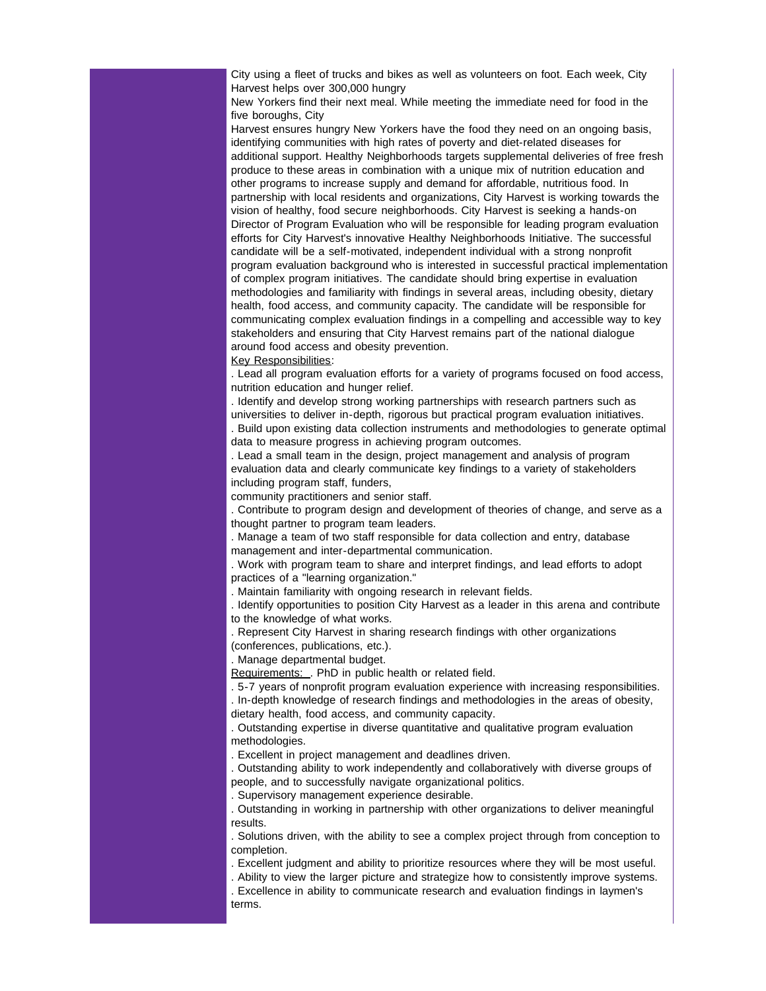City using a fleet of trucks and bikes as well as volunteers on foot. Each week, City Harvest helps over 300,000 hungry

New Yorkers find their next meal. While meeting the immediate need for food in the five boroughs, City

Harvest ensures hungry New Yorkers have the food they need on an ongoing basis, identifying communities with high rates of poverty and diet-related diseases for additional support. Healthy Neighborhoods targets supplemental deliveries of free fresh produce to these areas in combination with a unique mix of nutrition education and other programs to increase supply and demand for affordable, nutritious food. In partnership with local residents and organizations, City Harvest is working towards the vision of healthy, food secure neighborhoods. City Harvest is seeking a hands-on Director of Program Evaluation who will be responsible for leading program evaluation efforts for City Harvest's innovative Healthy Neighborhoods Initiative. The successful candidate will be a self-motivated, independent individual with a strong nonprofit program evaluation background who is interested in successful practical implementation of complex program initiatives. The candidate should bring expertise in evaluation methodologies and familiarity with findings in several areas, including obesity, dietary health, food access, and community capacity. The candidate will be responsible for communicating complex evaluation findings in a compelling and accessible way to key stakeholders and ensuring that City Harvest remains part of the national dialogue around food access and obesity prevention.

Key Responsibilities:

. Lead all program evaluation efforts for a variety of programs focused on food access, nutrition education and hunger relief.

. Identify and develop strong working partnerships with research partners such as universities to deliver in-depth, rigorous but practical program evaluation initiatives. . Build upon existing data collection instruments and methodologies to generate optimal data to measure progress in achieving program outcomes.

. Lead a small team in the design, project management and analysis of program evaluation data and clearly communicate key findings to a variety of stakeholders including program staff, funders,

community practitioners and senior staff.

. Contribute to program design and development of theories of change, and serve as a thought partner to program team leaders.

. Manage a team of two staff responsible for data collection and entry, database management and inter-departmental communication.

. Work with program team to share and interpret findings, and lead efforts to adopt practices of a "learning organization."

. Maintain familiarity with ongoing research in relevant fields.

. Identify opportunities to position City Harvest as a leader in this arena and contribute to the knowledge of what works.

. Represent City Harvest in sharing research findings with other organizations

(conferences, publications, etc.).

. Manage departmental budget.

Requirements: ... PhD in public health or related field.

. 5-7 years of nonprofit program evaluation experience with increasing responsibilities. . In-depth knowledge of research findings and methodologies in the areas of obesity, dietary health, food access, and community capacity.

. Outstanding expertise in diverse quantitative and qualitative program evaluation methodologies.

. Excellent in project management and deadlines driven.

. Outstanding ability to work independently and collaboratively with diverse groups of people, and to successfully navigate organizational politics.

. Supervisory management experience desirable.

. Outstanding in working in partnership with other organizations to deliver meaningful results.

. Solutions driven, with the ability to see a complex project through from conception to completion.

. Excellent judgment and ability to prioritize resources where they will be most useful.

. Ability to view the larger picture and strategize how to consistently improve systems. . Excellence in ability to communicate research and evaluation findings in laymen's

terms.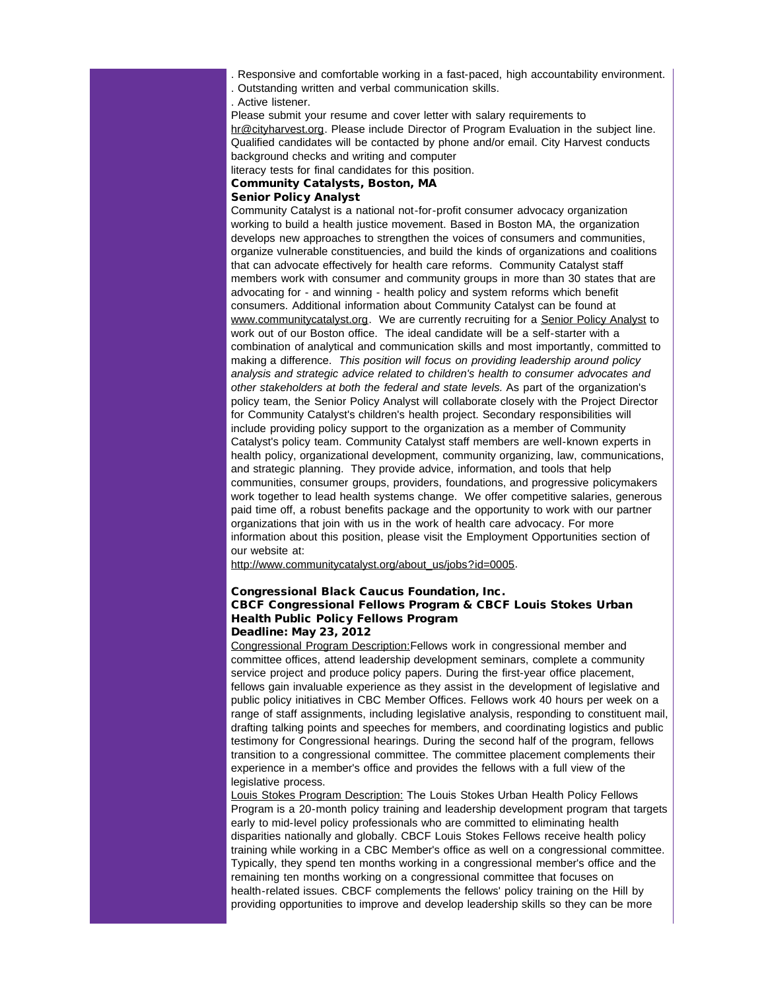. Responsive and comfortable working in a fast-paced, high accountability environment.

. Outstanding written and verbal communication skills.

. Active listener.

Please submit your resume and cover letter with salary requirements to [hr@cityharvest.org.](mailto:hr@cityharvest.org) Please include Director of Program Evaluation in the subject line. Qualified candidates will be contacted by phone and/or email. City Harvest conducts background checks and writing and computer

literacy tests for final candidates for this position.

#### Community Catalysts, Boston, MA Senior Policy Analyst

Community Catalyst is a national not-for-profit consumer advocacy organization working to build a health justice movement. Based in Boston MA, the organization develops new approaches to strengthen the voices of consumers and communities, organize vulnerable constituencies, and build the kinds of organizations and coalitions that can advocate effectively for health care reforms. Community Catalyst staff members work with consumer and community groups in more than 30 states that are advocating for - and winning - health policy and system reforms which benefit consumers. Additional information about Community Catalyst can be found at [www.communitycatalyst.org.](http://r20.rs6.net/tn.jsp?t=yorpzpjab.0.q6znv6cab.5gytkqcab.1&ts=S0753&p=http%3A%2F%2Fwww.communitycatalyst.org%2F) We are currently recruiting for a Senior Policy Analyst to work out of our Boston office. The ideal candidate will be a self-starter with a combination of analytical and communication skills and most importantly, committed to making a difference. *This position will focus on providing leadership around policy analysis and strategic advice related to children's health to consumer advocates and other stakeholders at both the federal and state levels.* As part of the organization's policy team, the Senior Policy Analyst will collaborate closely with the Project Director for Community Catalyst's children's health project. Secondary responsibilities will include providing policy support to the organization as a member of Community Catalyst's policy team. Community Catalyst staff members are well-known experts in health policy, organizational development, community organizing, law, communications, and strategic planning. They provide advice, information, and tools that help communities, consumer groups, providers, foundations, and progressive policymakers work together to lead health systems change. We offer competitive salaries, generous paid time off, a robust benefits package and the opportunity to work with our partner organizations that join with us in the work of health care advocacy. For more information about this position, please visit the Employment Opportunities section of our website at:

[http://www.communitycatalyst.org/about\\_us/jobs?id=0005.](http://r20.rs6.net/tn.jsp?t=yorpzpjab.0.luyxzpjab.5gytkqcab.1&ts=S0753&p=http%3A%2F%2Fwww.communitycatalyst.org%2Fabout_us%2Fjobs%3Fid%3D0005)

# Congressional Black Caucus Foundation, Inc. CBCF Congressional Fellows Program & CBCF Louis Stokes Urban Health Public Policy Fellows Program Deadline: May 23, 2012

Congressional Program Description:Fellows work in congressional member and committee offices, attend leadership development seminars, complete a community service project and produce policy papers. During the first-year office placement, fellows gain invaluable experience as they assist in the development of legislative and public policy initiatives in CBC Member Offices. Fellows work 40 hours per week on a range of staff assignments, including legislative analysis, responding to constituent mail, drafting talking points and speeches for members, and coordinating logistics and public testimony for Congressional hearings. During the second half of the program, fellows transition to a congressional committee. The committee placement complements their experience in a member's office and provides the fellows with a full view of the legislative process.

Louis Stokes Program Description: The Louis Stokes Urban Health Policy Fellows Program is a 20-month policy training and leadership development program that targets early to mid-level policy professionals who are committed to eliminating health disparities nationally and globally. CBCF Louis Stokes Fellows receive health policy training while working in a CBC Member's office as well on a congressional committee. Typically, they spend ten months working in a congressional member's office and the remaining ten months working on a congressional committee that focuses on health-related issues. CBCF complements the fellows' policy training on the Hill by providing opportunities to improve and develop leadership skills so they can be more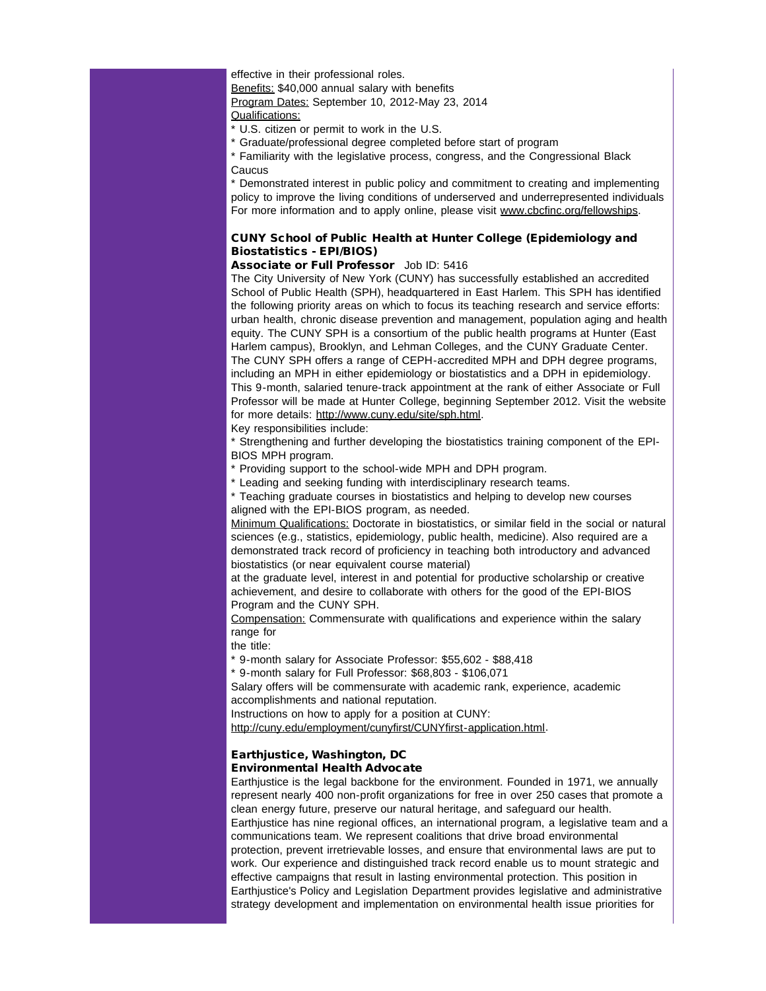effective in their professional roles. Benefits: \$40,000 annual salary with benefits Program Dates: September 10, 2012-May 23, 2014 Qualifications:

\* U.S. citizen or permit to work in the U.S.

\* Graduate/professional degree completed before start of program

\* Familiarity with the legislative process, congress, and the Congressional Black **Caucus** 

\* Demonstrated interest in public policy and commitment to creating and implementing policy to improve the living conditions of underserved and underrepresented individuals For more information and to apply online, please visit [www.cbcfinc.org/fellowships](http://r20.rs6.net/tn.jsp?t=yorpzpjab.0.muyxzpjab.5gytkqcab.1&ts=S0753&p=http%3A%2F%2Fwww.cbcfinc.org%2Ffellowships).

# CUNY School of Public Health at Hunter College (Epidemiology and Biostatistics - EPI/BIOS)

### Associate or Full Professor Job ID: 5416

The City University of New York (CUNY) has successfully established an accredited School of Public Health (SPH), headquartered in East Harlem. This SPH has identified the following priority areas on which to focus its teaching research and service efforts: urban health, chronic disease prevention and management, population aging and health equity. The CUNY SPH is a consortium of the public health programs at Hunter (East Harlem campus), Brooklyn, and Lehman Colleges, and the CUNY Graduate Center. The CUNY SPH offers a range of CEPH-accredited MPH and DPH degree programs, including an MPH in either epidemiology or biostatistics and a DPH in epidemiology. This 9-month, salaried tenure-track appointment at the rank of either Associate or Full Professor will be made at Hunter College, beginning September 2012. Visit the website for more details: [http://www.cuny.edu/site/sph.html.](http://r20.rs6.net/tn.jsp?t=yorpzpjab.0.nuyxzpjab.5gytkqcab.1&ts=S0753&p=http%3A%2F%2Fwww.cuny.edu%2Fsite%2Fsph.html)

Key responsibilities include:

\* Strengthening and further developing the biostatistics training component of the EPI-BIOS MPH program.

\* Providing support to the school-wide MPH and DPH program.

\* Leading and seeking funding with interdisciplinary research teams.

\* Teaching graduate courses in biostatistics and helping to develop new courses aligned with the EPI-BIOS program, as needed.

Minimum Qualifications: Doctorate in biostatistics, or similar field in the social or natural sciences (e.g., statistics, epidemiology, public health, medicine). Also required are a demonstrated track record of proficiency in teaching both introductory and advanced biostatistics (or near equivalent course material)

at the graduate level, interest in and potential for productive scholarship or creative achievement, and desire to collaborate with others for the good of the EPI-BIOS Program and the CUNY SPH.

Compensation: Commensurate with qualifications and experience within the salary range for

the title:

\* 9-month salary for Associate Professor: \$55,602 - \$88,418

\* 9-month salary for Full Professor: \$68,803 - \$106,071

Salary offers will be commensurate with academic rank, experience, academic accomplishments and national reputation.

Instructions on how to apply for a position at CUNY:

[http://cuny.edu/employment/cunyfirst/CUNYfirst-application.html](http://r20.rs6.net/tn.jsp?t=yorpzpjab.0.puyxzpjab.5gytkqcab.1&ts=S0753&p=http%3A%2F%2Fcuny.edu%2Femployment%2Fcunyfirst%2FCUNYfirst-application.html).

# Earthjustice, Washington, DC Environmental Health Advocate

Earthjustice is the legal backbone for the environment. Founded in 1971, we annually represent nearly 400 non-profit organizations for free in over 250 cases that promote a clean energy future, preserve our natural heritage, and safeguard our health. Earthjustice has nine regional offices, an international program, a legislative team and a communications team. We represent coalitions that drive broad environmental protection, prevent irretrievable losses, and ensure that environmental laws are put to work. Our experience and distinguished track record enable us to mount strategic and effective campaigns that result in lasting environmental protection. This position in Earthjustice's Policy and Legislation Department provides legislative and administrative strategy development and implementation on environmental health issue priorities for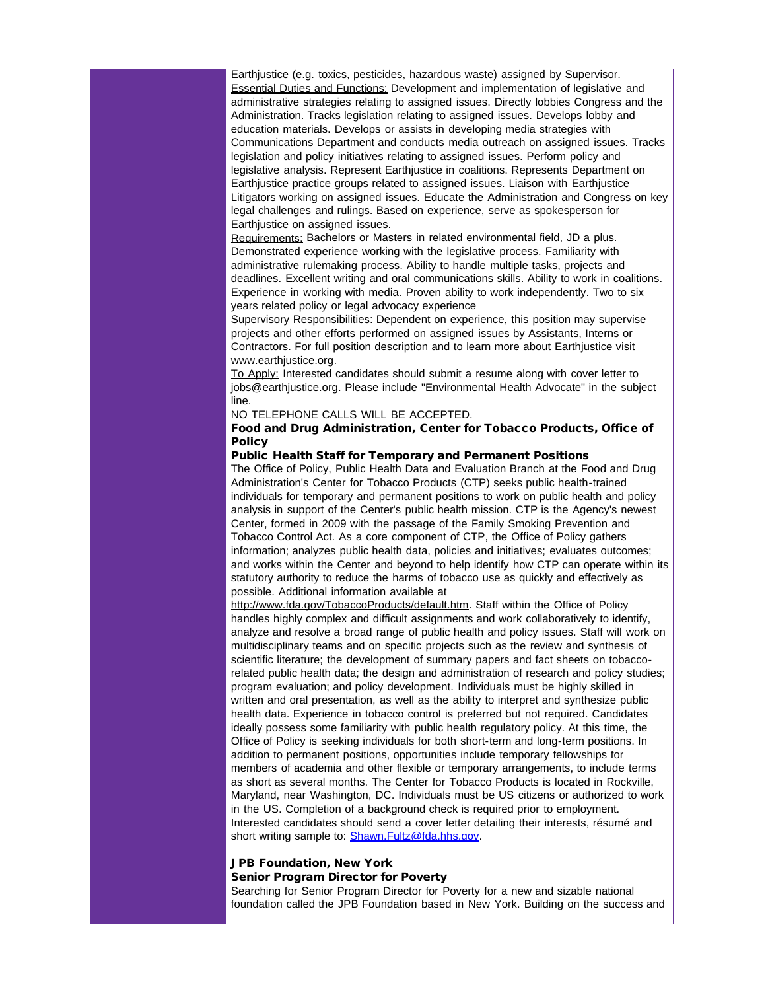Earthjustice (e.g. toxics, pesticides, hazardous waste) assigned by Supervisor. **Essential Duties and Functions: Development and implementation of legislative and** administrative strategies relating to assigned issues. Directly lobbies Congress and the Administration. Tracks legislation relating to assigned issues. Develops lobby and education materials. Develops or assists in developing media strategies with Communications Department and conducts media outreach on assigned issues. Tracks legislation and policy initiatives relating to assigned issues. Perform policy and legislative analysis. Represent Earthjustice in coalitions. Represents Department on Earthjustice practice groups related to assigned issues. Liaison with Earthjustice Litigators working on assigned issues. Educate the Administration and Congress on key legal challenges and rulings. Based on experience, serve as spokesperson for Earthjustice on assigned issues.

Requirements: Bachelors or Masters in related environmental field, JD a plus. Demonstrated experience working with the legislative process. Familiarity with administrative rulemaking process. Ability to handle multiple tasks, projects and deadlines. Excellent writing and oral communications skills. Ability to work in coalitions. Experience in working with media. Proven ability to work independently. Two to six years related policy or legal advocacy experience

Supervisory Responsibilities: Dependent on experience, this position may supervise projects and other efforts performed on assigned issues by Assistants, Interns or Contractors. For full position description and to learn more about Earthjustice visit www.earthiustice.org.

To Apply: Interested candidates should submit a resume along with cover letter to [jobs@earthjustice.org.](mailto:jobs@earthjustice.org) Please include "Environmental Health Advocate" in the subject line.

NO TELEPHONE CALLS WILL BE ACCEPTED.

## Food and Drug Administration, Center for Tobacco Products, Office of **Policy**

### Public Health Staff for Temporary and Permanent Positions

The Office of Policy, Public Health Data and Evaluation Branch at the Food and Drug Administration's Center for Tobacco Products (CTP) seeks public health-trained individuals for temporary and permanent positions to work on public health and policy analysis in support of the Center's public health mission. CTP is the Agency's newest Center, formed in 2009 with the passage of the Family Smoking Prevention and Tobacco Control Act. As a core component of CTP, the Office of Policy gathers information; analyzes public health data, policies and initiatives; evaluates outcomes; and works within the Center and beyond to help identify how CTP can operate within its statutory authority to reduce the harms of tobacco use as quickly and effectively as possible. Additional information available at

[http://www.fda.gov/TobaccoProducts/default.htm.](http://r20.rs6.net/tn.jsp?t=yorpzpjab.0.suyxzpjab.5gytkqcab.1&ts=S0753&p=http%3A%2F%2Fwww.fda.gov%2FTobaccoProducts%2Fdefault.htm) Staff within the Office of Policy handles highly complex and difficult assignments and work collaboratively to identify, analyze and resolve a broad range of public health and policy issues. Staff will work on multidisciplinary teams and on specific projects such as the review and synthesis of scientific literature; the development of summary papers and fact sheets on tobaccorelated public health data; the design and administration of research and policy studies; program evaluation; and policy development. Individuals must be highly skilled in written and oral presentation, as well as the ability to interpret and synthesize public health data. Experience in tobacco control is preferred but not required. Candidates ideally possess some familiarity with public health regulatory policy. At this time, the Office of Policy is seeking individuals for both short-term and long-term positions. In addition to permanent positions, opportunities include temporary fellowships for members of academia and other flexible or temporary arrangements, to include terms as short as several months. The Center for Tobacco Products is located in Rockville, Maryland, near Washington, DC. Individuals must be US citizens or authorized to work in the US. Completion of a background check is required prior to employment. Interested candidates should send a cover letter detailing their interests, résumé and short writing sample to: [Shawn.Fultz@fda.hhs.gov](mailto:Shawn.Fultz@fda.hhs.gov).

### JPB Foundation, New York

#### Senior Program Director for Poverty

Searching for Senior Program Director for Poverty for a new and sizable national foundation called the JPB Foundation based in New York. Building on the success and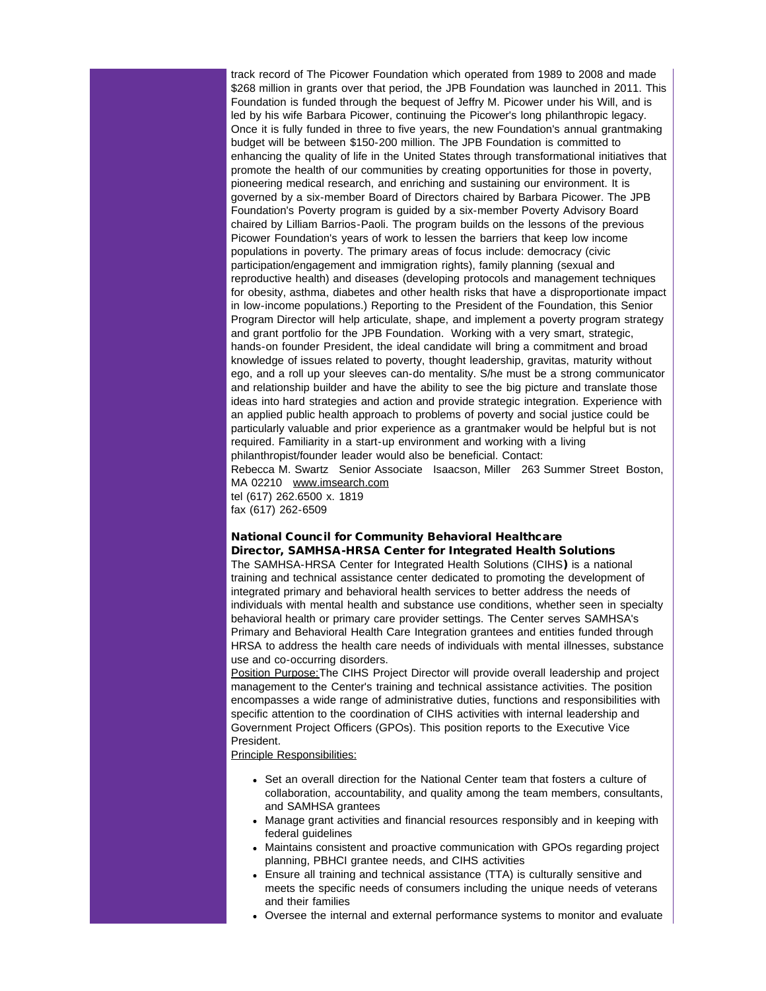track record of The Picower Foundation which operated from 1989 to 2008 and made \$268 million in grants over that period, the JPB Foundation was launched in 2011. This Foundation is funded through the bequest of Jeffry M. Picower under his Will, and is led by his wife Barbara Picower, continuing the Picower's long philanthropic legacy. Once it is fully funded in three to five years, the new Foundation's annual grantmaking budget will be between \$150-200 million. The JPB Foundation is committed to enhancing the quality of life in the United States through transformational initiatives that promote the health of our communities by creating opportunities for those in poverty, pioneering medical research, and enriching and sustaining our environment. It is governed by a six-member Board of Directors chaired by Barbara Picower. The JPB Foundation's Poverty program is guided by a six-member Poverty Advisory Board chaired by Lilliam Barrios-Paoli. The program builds on the lessons of the previous Picower Foundation's years of work to lessen the barriers that keep low income populations in poverty. The primary areas of focus include: democracy (civic participation/engagement and immigration rights), family planning (sexual and reproductive health) and diseases (developing protocols and management techniques for obesity, asthma, diabetes and other health risks that have a disproportionate impact in low-income populations.) Reporting to the President of the Foundation, this Senior Program Director will help articulate, shape, and implement a poverty program strategy and grant portfolio for the JPB Foundation. Working with a very smart, strategic, hands-on founder President, the ideal candidate will bring a commitment and broad knowledge of issues related to poverty, thought leadership, gravitas, maturity without ego, and a roll up your sleeves can-do mentality. S/he must be a strong communicator and relationship builder and have the ability to see the big picture and translate those ideas into hard strategies and action and provide strategic integration. Experience with an applied public health approach to problems of poverty and social justice could be particularly valuable and prior experience as a grantmaker would be helpful but is not required. Familiarity in a start-up environment and working with a living philanthropist/founder leader would also be beneficial. Contact: Rebecca M. Swartz Senior Associate Isaacson, Miller 263 Summer Street Boston, MA 02210 [www.imsearch.com](http://r20.rs6.net/tn.jsp?t=yorpzpjab.0.uuyxzpjab.5gytkqcab.1&ts=S0753&p=http%3A%2F%2Fwww.imsearch.com%2F) tel (617) 262.6500 x. 1819

fax (617) 262-6509

# National Council for Community Behavioral Healthcare Director, SAMHSA-HRSA Center for Integrated Health Solutions

The SAMHSA-HRSA Center for Integrated Health Solutions (CIHS) is a national training and technical assistance center dedicated to promoting the development of integrated primary and behavioral health services to better address the needs of individuals with mental health and substance use conditions, whether seen in specialty behavioral health or primary care provider settings. The Center serves SAMHSA's Primary and Behavioral Health Care Integration grantees and entities funded through HRSA to address the health care needs of individuals with mental illnesses, substance use and co-occurring disorders.

Position Purpose:The CIHS Project Director will provide overall leadership and project management to the Center's training and technical assistance activities. The position encompasses a wide range of administrative duties, functions and responsibilities with specific attention to the coordination of CIHS activities with internal leadership and Government Project Officers (GPOs). This position reports to the Executive Vice President.

Principle Responsibilities:

- Set an overall direction for the National Center team that fosters a culture of collaboration, accountability, and quality among the team members, consultants, and SAMHSA grantees
- Manage grant activities and financial resources responsibly and in keeping with federal guidelines
- Maintains consistent and proactive communication with GPOs regarding project planning, PBHCI grantee needs, and CIHS activities
- Ensure all training and technical assistance (TTA) is culturally sensitive and meets the specific needs of consumers including the unique needs of veterans and their families
- Oversee the internal and external performance systems to monitor and evaluate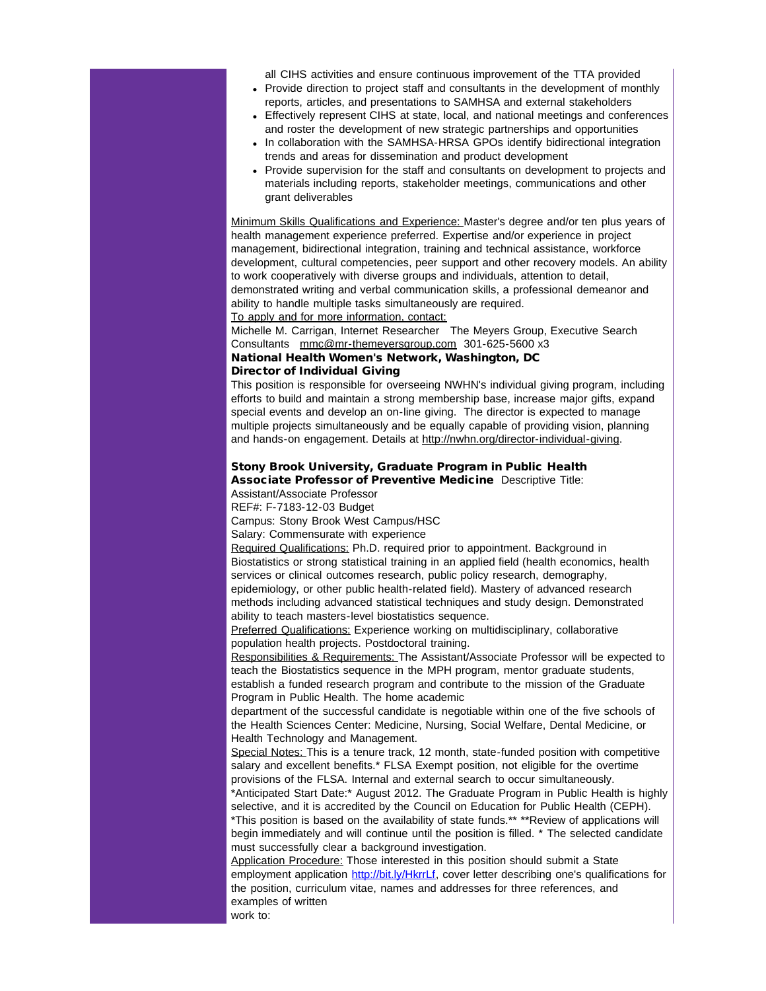all CIHS activities and ensure continuous improvement of the TTA provided

- Provide direction to project staff and consultants in the development of monthly reports, articles, and presentations to SAMHSA and external stakeholders
- Effectively represent CIHS at state, local, and national meetings and conferences and roster the development of new strategic partnerships and opportunities
- In collaboration with the SAMHSA-HRSA GPOs identify bidirectional integration trends and areas for dissemination and product development
- Provide supervision for the staff and consultants on development to projects and materials including reports, stakeholder meetings, communications and other grant deliverables

Minimum Skills Qualifications and Experience: Master's degree and/or ten plus years of health management experience preferred. Expertise and/or experience in project management, bidirectional integration, training and technical assistance, workforce development, cultural competencies, peer support and other recovery models. An ability to work cooperatively with diverse groups and individuals, attention to detail, demonstrated writing and verbal communication skills, a professional demeanor and ability to handle multiple tasks simultaneously are required.

To apply and for more information, contact:

Michelle M. Carrigan, Internet Researcher The Meyers Group, Executive Search Consultants [mmc@mr-themeyersgroup.com](mailto:mmc@mr-themeyersgroup.com) 301-625-5600 x3

National Health Women's Network, Washington, DC Director of Individual Giving

This position is responsible for overseeing NWHN's individual giving program, including efforts to build and maintain a strong membership base, increase major gifts, expand special events and develop an on-line giving. The director is expected to manage multiple projects simultaneously and be equally capable of providing vision, planning and hands-on engagement. Details at [http://nwhn.org/director-individual-giving.](http://r20.rs6.net/tn.jsp?t=yorpzpjab.0.xuyxzpjab.5gytkqcab.1&ts=S0753&p=http%3A%2F%2Fnwhn.org%2Fdirector-individual-giving)

## Stony Brook University, Graduate Program in Public Health Associate Professor of Preventive Medicine Descriptive Title:

Assistant/Associate Professor

REF#: F-7183-12-03 Budget

Campus: Stony Brook West Campus/HSC

Salary: Commensurate with experience

Required Qualifications: Ph.D. required prior to appointment. Background in Biostatistics or strong statistical training in an applied field (health economics, health services or clinical outcomes research, public policy research, demography, epidemiology, or other public health-related field). Mastery of advanced research methods including advanced statistical techniques and study design. Demonstrated ability to teach masters-level biostatistics sequence.

Preferred Qualifications: Experience working on multidisciplinary, collaborative population health projects. Postdoctoral training.

Responsibilities & Requirements: The Assistant/Associate Professor will be expected to teach the Biostatistics sequence in the MPH program, mentor graduate students, establish a funded research program and contribute to the mission of the Graduate Program in Public Health. The home academic

department of the successful candidate is negotiable within one of the five schools of the Health Sciences Center: Medicine, Nursing, Social Welfare, Dental Medicine, or Health Technology and Management.

Special Notes: This is a tenure track, 12 month, state-funded position with competitive salary and excellent benefits.\* FLSA Exempt position, not eligible for the overtime provisions of the FLSA. Internal and external search to occur simultaneously.

\*Anticipated Start Date:\* August 2012. The Graduate Program in Public Health is highly selective, and it is accredited by the Council on Education for Public Health (CEPH). \*This position is based on the availability of state funds.\*\* \*\*Review of applications will begin immediately and will continue until the position is filled. \* The selected candidate

must successfully clear a background investigation.

Application Procedure: Those interested in this position should submit a State employment application [http://bit.ly/HkrrLf](http://r20.rs6.net/tn.jsp?t=yorpzpjab.0.yuyxzpjab.5gytkqcab.1&ts=S0753&p=http%3A%2F%2Fbit.ly%2FHkrrLf), cover letter describing one's qualifications for the position, curriculum vitae, names and addresses for three references, and examples of written

work to: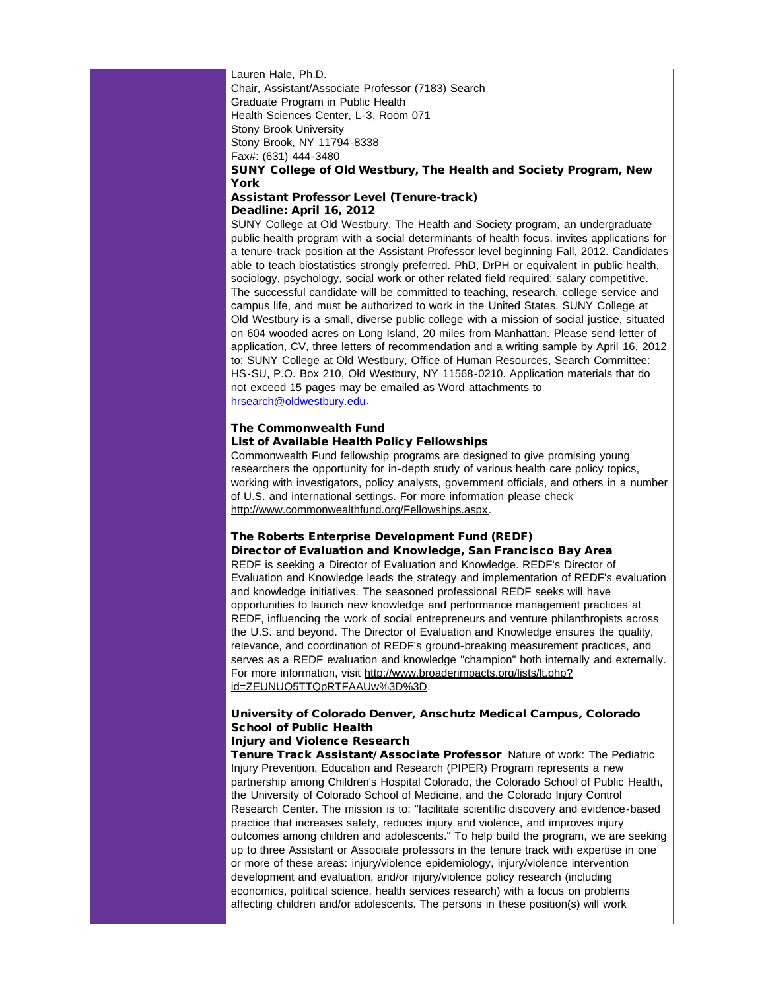Lauren Hale, Ph.D. Chair, Assistant/Associate Professor (7183) Search Graduate Program in Public Health Health Sciences Center, L-3, Room 071 Stony Brook University Stony Brook, NY 11794-8338 Fax#: (631) 444-3480

SUNY College of Old Westbury, The Health and Society Program, New York

## Assistant Professor Level (Tenure-track) Deadline: April 16, 2012

SUNY College at Old Westbury, The Health and Society program, an undergraduate public health program with a social determinants of health focus, invites applications for a tenure-track position at the Assistant Professor level beginning Fall, 2012. Candidates able to teach biostatistics strongly preferred. PhD, DrPH or equivalent in public health, sociology, psychology, social work or other related field required; salary competitive. The successful candidate will be committed to teaching, research, college service and campus life, and must be authorized to work in the United States. SUNY College at Old Westbury is a small, diverse public college with a mission of social justice, situated on 604 wooded acres on Long Island, 20 miles from Manhattan. Please send letter of application, CV, three letters of recommendation and a writing sample by April 16, 2012 to: SUNY College at Old Westbury, Office of Human Resources, Search Committee: HS-SU, P.O. Box 210, Old Westbury, NY 11568-0210. Application materials that do not exceed 15 pages may be emailed as Word attachments to [hrsearch@oldwestbury.edu.](mailto:hrsearch@oldwestbury.edu)

#### The Commonwealth Fund List of Available Health Policy Fellowships

Commonwealth Fund fellowship programs are designed to give promising young researchers the opportunity for in-depth study of various health care policy topics, working with investigators, policy analysts, government officials, and others in a number of U.S. and international settings. For more information please check [http://www.commonwealthfund.org/Fellowships.aspx.](http://r20.rs6.net/tn.jsp?et=1109622784655&s=1015&e=001c3iitatgx3WSeAPRUfZSM0FyS8CdWTlwu8iz2WaGQGETYjsebIwYz3FNLOpIF9LN7mD1onJViHNQSj0G0Fh7oMC99tjDxTD4cye19r3FWndpBGR9x56jXOFx6-rznCgx8gD2K07oPPSDggTTPC8kFw==)

# The Roberts Enterprise Development Fund (REDF)

Director of Evaluation and Knowledge, San Francisco Bay Area REDF is seeking a Director of Evaluation and Knowledge. REDF's Director of Evaluation and Knowledge leads the strategy and implementation of REDF's evaluation and knowledge initiatives. The seasoned professional REDF seeks will have opportunities to launch new knowledge and performance management practices at REDF, influencing the work of social entrepreneurs and venture philanthropists across the U.S. and beyond. The Director of Evaluation and Knowledge ensures the quality, relevance, and coordination of REDF's ground-breaking measurement practices, and serves as a REDF evaluation and knowledge "champion" both internally and externally. For more information, visit [http://www.broaderimpacts.org/lists/lt.php?](http://r20.rs6.net/tn.jsp?et=1109622784655&s=1015&e=001c3iitatgx3VkCJhABLpdDW-2dV9NR8rbiKKzNII11R3gTMhk-eipWQDFR7uwSkKBXjFqJY7B8xseBXBK4oMPZZhOl0YeGREEP7uZeWoPJVrcka-wy2vFHwv24y3JkkUK-T-m06FrTmse0uJ0ywLJjkY4XLaa40xj38H3QmqQYcI40etdMWv5iubjprGyUgOL) [id=ZEUNUQ5TTQpRTFAAUw%3D%3D.](http://r20.rs6.net/tn.jsp?et=1109622784655&s=1015&e=001c3iitatgx3VkCJhABLpdDW-2dV9NR8rbiKKzNII11R3gTMhk-eipWQDFR7uwSkKBXjFqJY7B8xseBXBK4oMPZZhOl0YeGREEP7uZeWoPJVrcka-wy2vFHwv24y3JkkUK-T-m06FrTmse0uJ0ywLJjkY4XLaa40xj38H3QmqQYcI40etdMWv5iubjprGyUgOL)

# University of Colorado Denver, Anschutz Medical Campus, Colorado School of Public Health

Injury and Violence Research

Tenure Track Assistant/ Associate Professor Nature of work: The Pediatric Injury Prevention, Education and Research (PIPER) Program represents a new partnership among Children's Hospital Colorado, the Colorado School of Public Health, the University of Colorado School of Medicine, and the Colorado Injury Control Research Center. The mission is to: "facilitate scientific discovery and evidence-based practice that increases safety, reduces injury and violence, and improves injury outcomes among children and adolescents." To help build the program, we are seeking up to three Assistant or Associate professors in the tenure track with expertise in one or more of these areas: injury/violence epidemiology, injury/violence intervention development and evaluation, and/or injury/violence policy research (including economics, political science, health services research) with a focus on problems affecting children and/or adolescents. The persons in these position(s) will work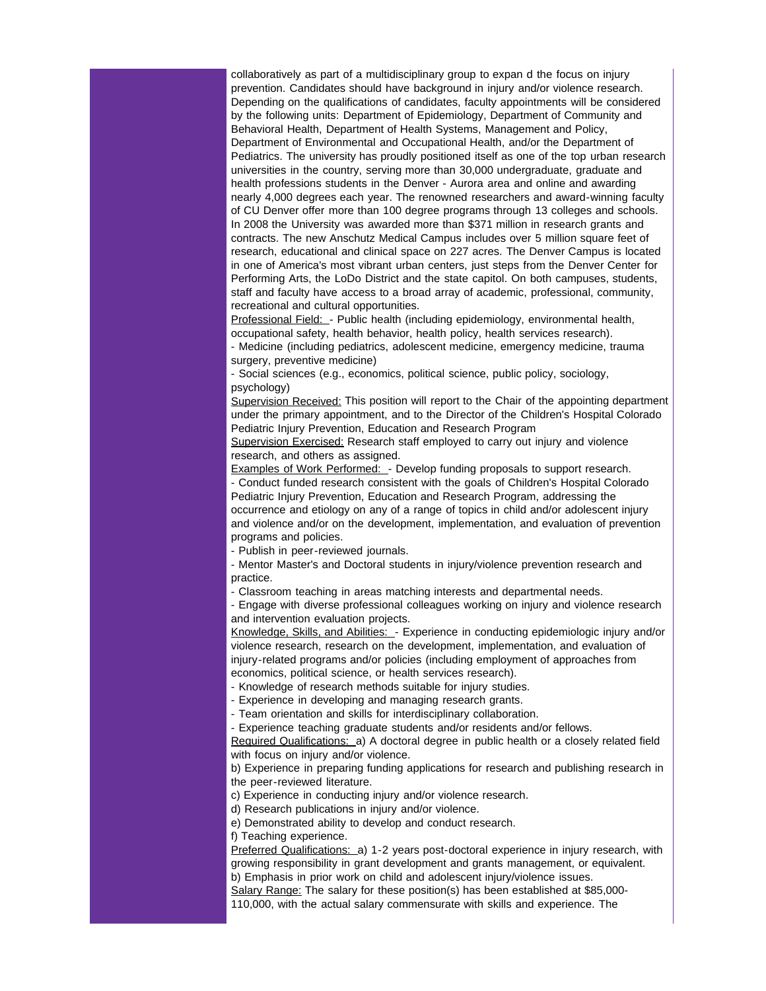collaboratively as part of a multidisciplinary group to expan d the focus on injury prevention. Candidates should have background in injury and/or violence research. Depending on the qualifications of candidates, faculty appointments will be considered by the following units: Department of Epidemiology, Department of Community and Behavioral Health, Department of Health Systems, Management and Policy, Department of Environmental and Occupational Health, and/or the Department of Pediatrics. The university has proudly positioned itself as one of the top urban research universities in the country, serving more than 30,000 undergraduate, graduate and health professions students in the Denver - Aurora area and online and awarding nearly 4,000 degrees each year. The renowned researchers and award-winning faculty of CU Denver offer more than 100 degree programs through 13 colleges and schools. In 2008 the University was awarded more than \$371 million in research grants and contracts. The new Anschutz Medical Campus includes over 5 million square feet of research, educational and clinical space on 227 acres. The Denver Campus is located in one of America's most vibrant urban centers, just steps from the Denver Center for Performing Arts, the LoDo District and the state capitol. On both campuses, students, staff and faculty have access to a broad array of academic, professional, community, recreational and cultural opportunities.

Professional Field: - Public health (including epidemiology, environmental health, occupational safety, health behavior, health policy, health services research). - Medicine (including pediatrics, adolescent medicine, emergency medicine, trauma surgery, preventive medicine)

- Social sciences (e.g., economics, political science, public policy, sociology, psychology)

Supervision Received: This position will report to the Chair of the appointing department under the primary appointment, and to the Director of the Children's Hospital Colorado Pediatric Injury Prevention, Education and Research Program

Supervision Exercised: Research staff employed to carry out injury and violence research, and others as assigned.

Examples of Work Performed: - Develop funding proposals to support research. - Conduct funded research consistent with the goals of Children's Hospital Colorado Pediatric Injury Prevention, Education and Research Program, addressing the occurrence and etiology on any of a range of topics in child and/or adolescent injury and violence and/or on the development, implementation, and evaluation of prevention programs and policies.

- Publish in peer-reviewed journals.

- Mentor Master's and Doctoral students in injury/violence prevention research and practice.

- Classroom teaching in areas matching interests and departmental needs.

- Engage with diverse professional colleagues working on injury and violence research and intervention evaluation projects.

Knowledge, Skills, and Abilities: - Experience in conducting epidemiologic injury and/or violence research, research on the development, implementation, and evaluation of injury-related programs and/or policies (including employment of approaches from economics, political science, or health services research).

- Knowledge of research methods suitable for injury studies.

- Experience in developing and managing research grants.

- Team orientation and skills for interdisciplinary collaboration.

- Experience teaching graduate students and/or residents and/or fellows.

Required Qualifications: a) A doctoral degree in public health or a closely related field with focus on injury and/or violence.

b) Experience in preparing funding applications for research and publishing research in the peer-reviewed literature.

c) Experience in conducting injury and/or violence research.

d) Research publications in injury and/or violence.

e) Demonstrated ability to develop and conduct research.

f) Teaching experience.

Preferred Qualifications: a) 1-2 years post-doctoral experience in injury research, with growing responsibility in grant development and grants management, or equivalent. b) Emphasis in prior work on child and adolescent injury/violence issues.

Salary Range: The salary for these position(s) has been established at \$85,000- 110,000, with the actual salary commensurate with skills and experience. The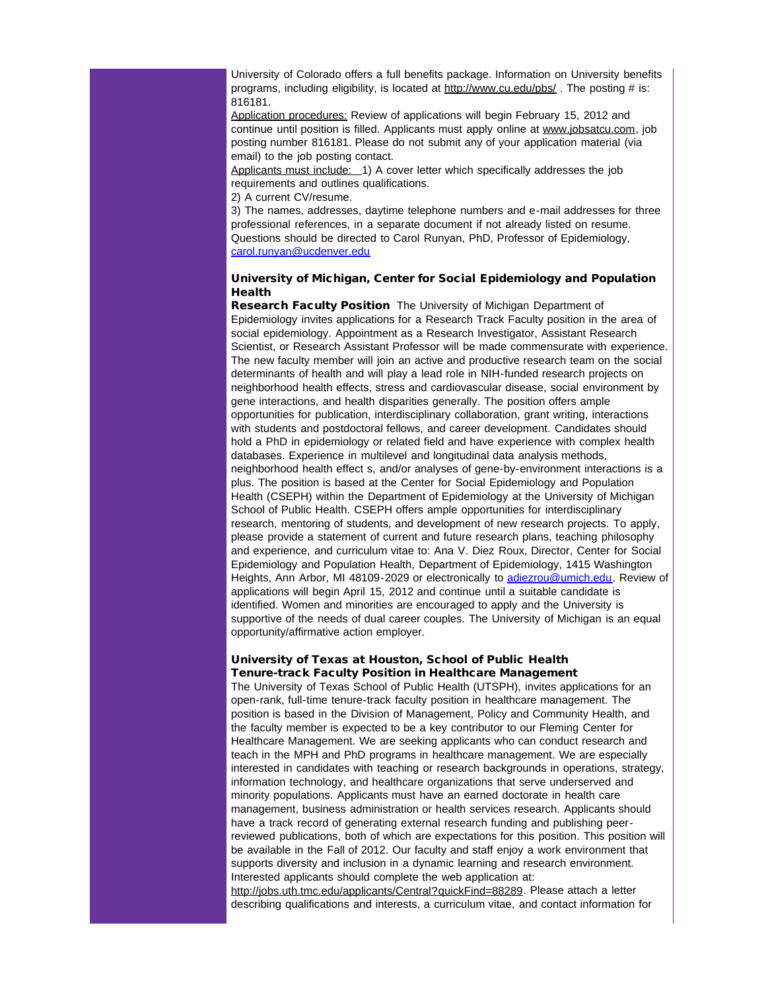University of Colorado offers a full benefits package. Information on University benefits programs, including eligibility, is located at http://www.cu.edu/pbs/. The posting # is: 816181.

Application procedures: Review of applications will begin February 15, 2012 and continue until position is filled. Applicants must apply online at [www.jobsatcu.com](http://r20.rs6.net/tn.jsp?t=yorpzpjab.0.9uyxzpjab.5gytkqcab.1&ts=S0753&p=http%3A%2F%2Fwww.jobsatcu.com%2F), job posting number 816181. Please do not submit any of your application material (via email) to the job posting contact.

Applicants must include: 1) A cover letter which specifically addresses the job requirements and outlines qualifications.

2) A current CV/resume.

3) The names, addresses, daytime telephone numbers and e-mail addresses for three professional references, in a separate document if not already listed on resume. Questions should be directed to Carol Runyan, PhD, Professor of Epidemiology, [carol.runyan@ucdenver.edu](mailto:carol.runyan@ucdenver.edu)

# University of Michigan, Center for Social Epidemiology and Population **Health**

Research Faculty Position The University of Michigan Department of Epidemiology invites applications for a Research Track Faculty position in the area of social epidemiology. Appointment as a Research Investigator, Assistant Research Scientist, or Research Assistant Professor will be made commensurate with experience. The new faculty member will join an active and productive research team on the social determinants of health and will play a lead role in NIH-funded research projects on neighborhood health effects, stress and cardiovascular disease, social environment by gene interactions, and health disparities generally. The position offers ample opportunities for publication, interdisciplinary collaboration, grant writing, interactions with students and postdoctoral fellows, and career development. Candidates should hold a PhD in epidemiology or related field and have experience with complex health databases. Experience in multilevel and longitudinal data analysis methods, neighborhood health effect s, and/or analyses of gene-by-environment interactions is a plus. The position is based at the Center for Social Epidemiology and Population Health (CSEPH) within the Department of Epidemiology at the University of Michigan School of Public Health. CSEPH offers ample opportunities for interdisciplinary research, mentoring of students, and development of new research projects. To apply, please provide a statement of current and future research plans, teaching philosophy and experience, and curriculum vitae to: Ana V. Diez Roux, Director, Center for Social Epidemiology and Population Health, Department of Epidemiology, 1415 Washington Heights, Ann Arbor, MI 48109-2029 or electronically to [adiezrou@umich.edu.](mailto:adiezrou@umich.edu) Review of applications will begin April 15, 2012 and continue until a suitable candidate is identified. Women and minorities are encouraged to apply and the University is supportive of the needs of dual career couples. The University of Michigan is an equal opportunity/affirmative action employer.

### University of Texas at Houston, School of Public Health Tenure-track Faculty Position in Healthcare Management

The University of Texas School of Public Health (UTSPH), invites applications for an open-rank, full-time tenure-track faculty position in healthcare management. The position is based in the Division of Management, Policy and Community Health, and the faculty member is expected to be a key contributor to our Fleming Center for Healthcare Management. We are seeking applicants who can conduct research and teach in the MPH and PhD programs in healthcare management. We are especially interested in candidates with teaching or research backgrounds in operations, strategy, information technology, and healthcare organizations that serve underserved and minority populations. Applicants must have an earned doctorate in health care management, business administration or health services research. Applicants should have a track record of generating external research funding and publishing peerreviewed publications, both of which are expectations for this position. This position will be available in the Fall of 2012. Our faculty and staff enjoy a work environment that supports diversity and inclusion in a dynamic learning and research environment. Interested applicants should complete the web application at: [http://jobs.uth.tmc.edu/applicants/Central?quickFind=88289.](http://r20.rs6.net/tn.jsp?et=1109622784655&s=1015&e=001c3iitatgx3XXhRA3ZJFLbhcrrMcdqR5Tgo-cdtol6UMb_uZWBBHJ8ARh7UEijlWbWy7fmE6yWD0X2IPfz6YvyrfIG4gvEw8mn47yHMhcmJBhODjEf8HIJ8Y5UujREMPjEZHwIjgI8TuGbvKsAnHDM46WQ69ddX5U_bng_mYdVIo=) Please attach a letter

describing qualifications and interests, a curriculum vitae, and contact information for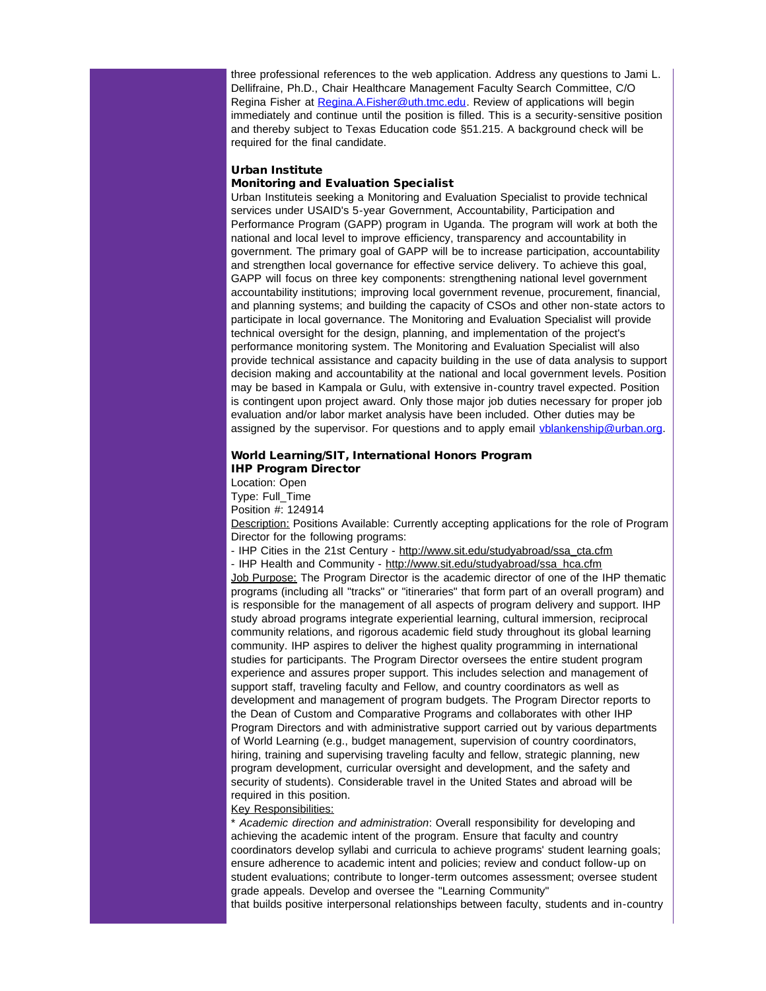three professional references to the web application. Address any questions to Jami L. Dellifraine, Ph.D., Chair Healthcare Management Faculty Search Committee, C/O Regina Fisher at [Regina.A.Fisher@uth.tmc.edu.](mailto:Regina.A.Fisher@uth.tmc.edu) Review of applications will begin immediately and continue until the position is filled. This is a security-sensitive position and thereby subject to Texas Education code §51.215. A background check will be required for the final candidate.

# Urban Institute

## Monitoring and Evaluation Specialist

Urban Instituteis seeking a Monitoring and Evaluation Specialist to provide technical services under USAID's 5-year Government, Accountability, Participation and Performance Program (GAPP) program in Uganda. The program will work at both the national and local level to improve efficiency, transparency and accountability in government. The primary goal of GAPP will be to increase participation, accountability and strengthen local governance for effective service delivery. To achieve this goal, GAPP will focus on three key components: strengthening national level government accountability institutions; improving local government revenue, procurement, financial, and planning systems; and building the capacity of CSOs and other non-state actors to participate in local governance. The Monitoring and Evaluation Specialist will provide technical oversight for the design, planning, and implementation of the project's performance monitoring system. The Monitoring and Evaluation Specialist will also provide technical assistance and capacity building in the use of data analysis to support decision making and accountability at the national and local government levels. Position may be based in Kampala or Gulu, with extensive in-country travel expected. Position is contingent upon project award. Only those major job duties necessary for proper job evaluation and/or labor market analysis have been included. Other duties may be assigned by the supervisor. For questions and to apply email [vblankenship@urban.org](mailto:vblankenship@urban.org).

### World Learning/SIT, International Honors Program IHP Program Director

Location: Open

Type: Full\_Time

Position #: 124914

Description: Positions Available: Currently accepting applications for the role of Program Director for the following programs:

- IHP Cities in the 21st Century - [http://www.sit.edu/studyabroad/ssa\\_cta.cfm](http://r20.rs6.net/tn.jsp?t=yorpzpjab.0.7uyxzpjab.5gytkqcab.1&ts=S0753&p=http%3A%2F%2Fwww.sit.edu%2Fstudyabroad%2Fssa_cta.cfm)

- IHP Health and Community - [http://www.sit.edu/studyabroad/ssa\\_hca.cfm](http://r20.rs6.net/tn.jsp?t=yorpzpjab.0.5uyxzpjab.5gytkqcab.1&ts=S0753&p=http%3A%2F%2Fwww.sit.edu%2Fstudyabroad%2Fssa_hca.cfm) Job Purpose: The Program Director is the academic director of one of the IHP thematic programs (including all "tracks" or "itineraries" that form part of an overall program) and is responsible for the management of all aspects of program delivery and support. IHP study abroad programs integrate experiential learning, cultural immersion, reciprocal community relations, and rigorous academic field study throughout its global learning community. IHP aspires to deliver the highest quality programming in international studies for participants. The Program Director oversees the entire student program experience and assures proper support. This includes selection and management of support staff, traveling faculty and Fellow, and country coordinators as well as development and management of program budgets. The Program Director reports to the Dean of Custom and Comparative Programs and collaborates with other IHP Program Directors and with administrative support carried out by various departments of World Learning (e.g., budget management, supervision of country coordinators, hiring, training and supervising traveling faculty and fellow, strategic planning, new program development, curricular oversight and development, and the safety and security of students). Considerable travel in the United States and abroad will be required in this position.

Key Responsibilities:

\* *Academic direction and administration*: Overall responsibility for developing and achieving the academic intent of the program. Ensure that faculty and country coordinators develop syllabi and curricula to achieve programs' student learning goals; ensure adherence to academic intent and policies; review and conduct follow-up on student evaluations; contribute to longer-term outcomes assessment; oversee student grade appeals. Develop and oversee the "Learning Community"

that builds positive interpersonal relationships between faculty, students and in-country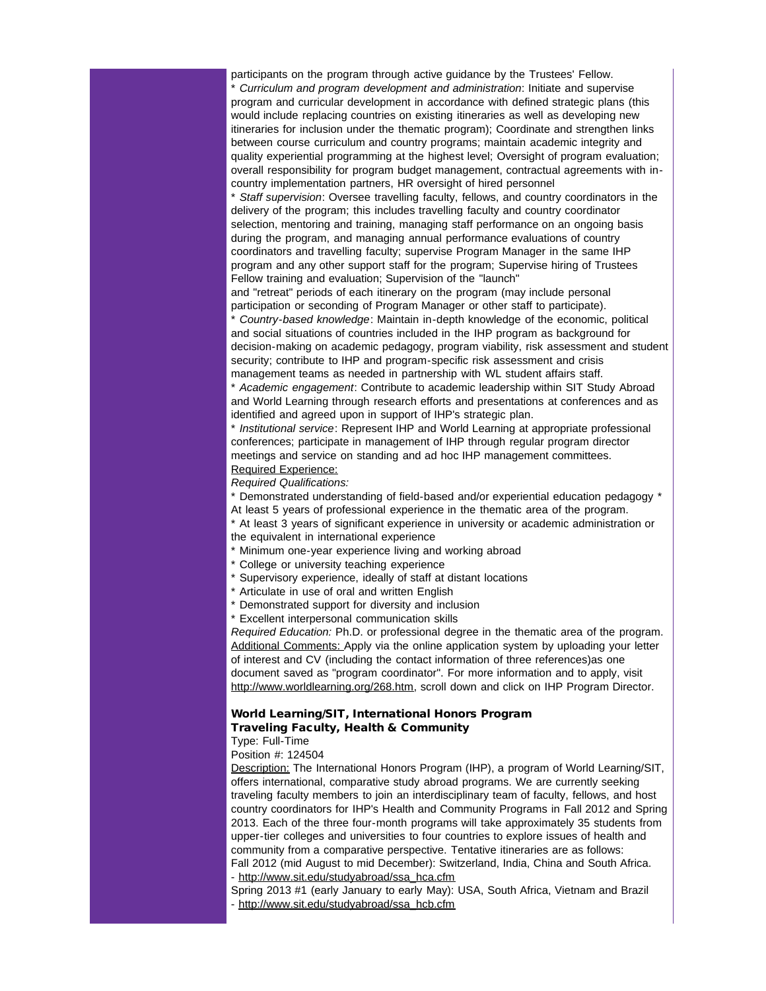participants on the program through active guidance by the Trustees' Fellow.

\* *Curriculum and program development and administration*: Initiate and supervise program and curricular development in accordance with defined strategic plans (this would include replacing countries on existing itineraries as well as developing new itineraries for inclusion under the thematic program); Coordinate and strengthen links between course curriculum and country programs; maintain academic integrity and quality experiential programming at the highest level; Oversight of program evaluation; overall responsibility for program budget management, contractual agreements with incountry implementation partners, HR oversight of hired personnel

\* *Staff supervision*: Oversee travelling faculty, fellows, and country coordinators in the delivery of the program; this includes travelling faculty and country coordinator selection, mentoring and training, managing staff performance on an ongoing basis during the program, and managing annual performance evaluations of country coordinators and travelling faculty; supervise Program Manager in the same IHP program and any other support staff for the program; Supervise hiring of Trustees Fellow training and evaluation; Supervision of the "launch"

and "retreat" periods of each itinerary on the program (may include personal participation or seconding of Program Manager or other staff to participate).

\* *Country-based knowledge*: Maintain in-depth knowledge of the economic, political and social situations of countries included in the IHP program as background for decision-making on academic pedagogy, program viability, risk assessment and student security; contribute to IHP and program-specific risk assessment and crisis management teams as needed in partnership with WL student affairs staff.

\* *Academic engagement*: Contribute to academic leadership within SIT Study Abroad and World Learning through research efforts and presentations at conferences and as identified and agreed upon in support of IHP's strategic plan.

\* *Institutional service*: Represent IHP and World Learning at appropriate professional conferences; participate in management of IHP through regular program director meetings and service on standing and ad hoc IHP management committees. Required Experience:

*Required Qualifications:*

\* Demonstrated understanding of field-based and/or experiential education pedagogy \* At least 5 years of professional experience in the thematic area of the program.

\* At least 3 years of significant experience in university or academic administration or the equivalent in international experience

\* Minimum one-year experience living and working abroad

\* College or university teaching experience

\* Supervisory experience, ideally of staff at distant locations

\* Articulate in use of oral and written English

\* Demonstrated support for diversity and inclusion

\* Excellent interpersonal communication skills

*Required Education:* Ph.D. or professional degree in the thematic area of the program. Additional Comments: Apply via the online application system by uploading your letter of interest and CV (including the contact information of three references)as one document saved as "program coordinator". For more information and to apply, visit [http://www.worldlearning.org/268.htm,](http://r20.rs6.net/tn.jsp?t=yorpzpjab.0.4uyxzpjab.5gytkqcab.1&ts=S0753&p=http%3A%2F%2Fwww.worldlearning.org%2F268.htm) scroll down and click on IHP Program Director.

# World Learning/SIT, International Honors Program Traveling Faculty, Health & Community

Type: Full-Time

Position #: 124504

Description: The International Honors Program (IHP), a program of World Learning/SIT, offers international, comparative study abroad programs. We are currently seeking traveling faculty members to join an interdisciplinary team of faculty, fellows, and host country coordinators for IHP's Health and Community Programs in Fall 2012 and Spring 2013. Each of the three four-month programs will take approximately 35 students from upper-tier colleges and universities to four countries to explore issues of health and community from a comparative perspective. Tentative itineraries are as follows: Fall 2012 (mid August to mid December): Switzerland, India, China and South Africa. - [http://www.sit.edu/studyabroad/ssa\\_hca.cfm](http://r20.rs6.net/tn.jsp?t=yorpzpjab.0.5uyxzpjab.5gytkqcab.1&ts=S0753&p=http%3A%2F%2Fwww.sit.edu%2Fstudyabroad%2Fssa_hca.cfm)

Spring 2013 #1 (early January to early May): USA, South Africa, Vietnam and Brazil - [http://www.sit.edu/studyabroad/ssa\\_hcb.cfm](http://r20.rs6.net/tn.jsp?t=yorpzpjab.0.avyxzpjab.5gytkqcab.1&ts=S0753&p=http%3A%2F%2Fwww.sit.edu%2Fstudyabroad%2Fssa_hcb.cfm)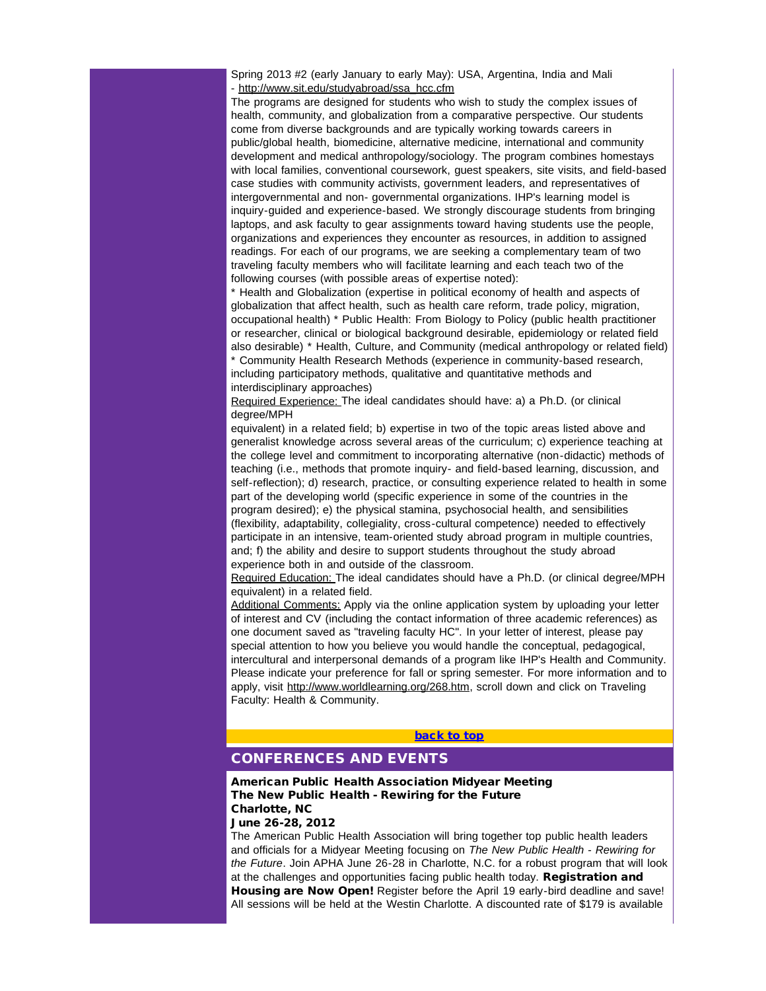Spring 2013 #2 (early January to early May): USA, Argentina, India and Mali - [http://www.sit.edu/studyabroad/ssa\\_hcc.cfm](http://r20.rs6.net/tn.jsp?t=yorpzpjab.0.bvyxzpjab.5gytkqcab.1&ts=S0753&p=http%3A%2F%2Fwww.sit.edu%2Fstudyabroad%2Fssa_hcc.cfm)

The programs are designed for students who wish to study the complex issues of health, community, and globalization from a comparative perspective. Our students come from diverse backgrounds and are typically working towards careers in public/global health, biomedicine, alternative medicine, international and community development and medical anthropology/sociology. The program combines homestays with local families, conventional coursework, guest speakers, site visits, and field-based case studies with community activists, government leaders, and representatives of intergovernmental and non- governmental organizations. IHP's learning model is inquiry-guided and experience-based. We strongly discourage students from bringing laptops, and ask faculty to gear assignments toward having students use the people, organizations and experiences they encounter as resources, in addition to assigned readings. For each of our programs, we are seeking a complementary team of two traveling faculty members who will facilitate learning and each teach two of the following courses (with possible areas of expertise noted):

\* Health and Globalization (expertise in political economy of health and aspects of globalization that affect health, such as health care reform, trade policy, migration, occupational health) \* Public Health: From Biology to Policy (public health practitioner or researcher, clinical or biological background desirable, epidemiology or related field also desirable) \* Health, Culture, and Community (medical anthropology or related field) \* Community Health Research Methods (experience in community-based research, including participatory methods, qualitative and quantitative methods and interdisciplinary approaches)

Required Experience: The ideal candidates should have: a) a Ph.D. (or clinical degree/MPH

equivalent) in a related field; b) expertise in two of the topic areas listed above and generalist knowledge across several areas of the curriculum; c) experience teaching at the college level and commitment to incorporating alternative (non-didactic) methods of teaching (i.e., methods that promote inquiry- and field-based learning, discussion, and self-reflection); d) research, practice, or consulting experience related to health in some part of the developing world (specific experience in some of the countries in the program desired); e) the physical stamina, psychosocial health, and sensibilities (flexibility, adaptability, collegiality, cross-cultural competence) needed to effectively participate in an intensive, team-oriented study abroad program in multiple countries, and; f) the ability and desire to support students throughout the study abroad experience both in and outside of the classroom.

<span id="page-20-0"></span>Required Education: The ideal candidates should have a Ph.D. (or clinical degree/MPH equivalent) in a related field.

Additional Comments: Apply via the online application system by uploading your letter of interest and CV (including the contact information of three academic references) as one document saved as "traveling faculty HC". In your letter of interest, please pay special attention to how you believe you would handle the conceptual, pedagogical, intercultural and interpersonal demands of a program like IHP's Health and Community. Please indicate your preference for fall or spring semester. For more information and to apply, visit [http://www.worldlearning.org/268.htm,](http://r20.rs6.net/tn.jsp?t=yorpzpjab.0.4uyxzpjab.5gytkqcab.1&ts=S0753&p=http%3A%2F%2Fwww.worldlearning.org%2F268.htm) scroll down and click on Traveling Faculty: Health & Community.

#### [back to top](#page-0-1)

# CONFERENCES AND EVENTS

### American Public Health Association Midyear Meeting The New Public Health - Rewiring for the Future Charlotte, NC

#### June 26-28, 2012

The American Public Health Association will bring together top public health leaders and officials for a Midyear Meeting focusing on *The New Public Health - Rewiring for the Future*. Join APHA June 26-28 in Charlotte, N.C. for a robust program that will look at the challenges and opportunities facing public health today. Registration and Housing are Now Open! Register before the April 19 early-bird deadline and save! All sessions will be held at the Westin Charlotte. A discounted rate of \$179 is available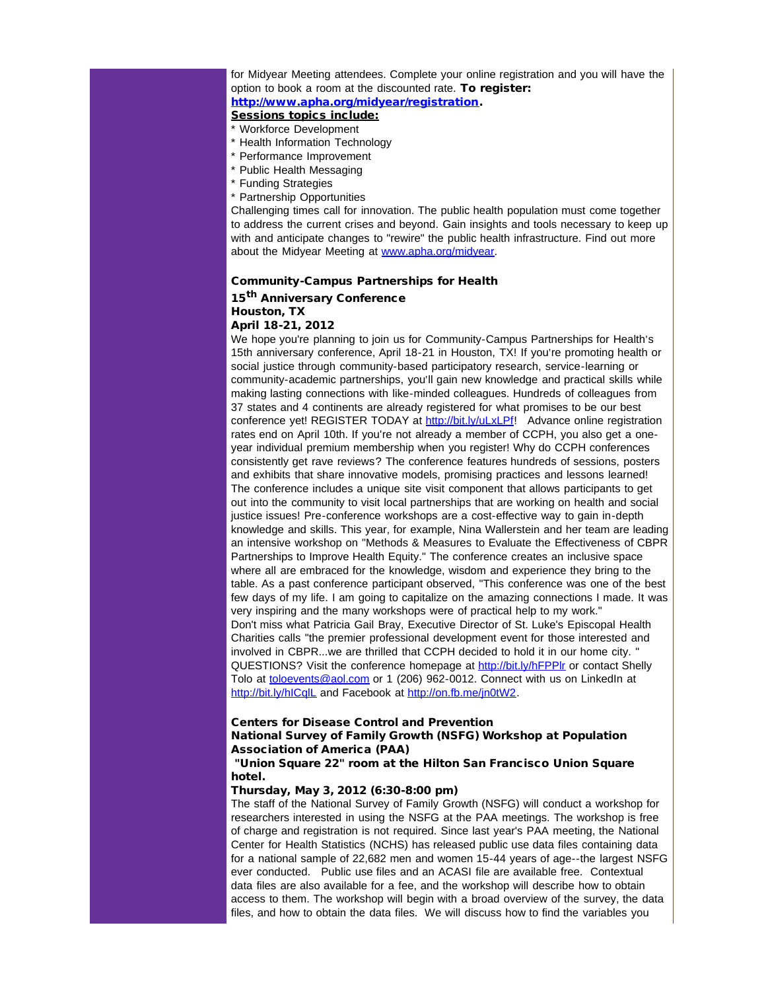for Midyear Meeting attendees. Complete your online registration and you will have the option to book a room at the discounted rate. To register:

# [http://www.apha.org/midyear/registration](http://r20.rs6.net/tn.jsp?t=yorpzpjab.0.cvyxzpjab.5gytkqcab.1&ts=S0753&p=http%3A%2F%2Fwww.apha.org%2Fmidyear%2Fregistration).

Sessions topics include:

- \* Workforce Development
- \* Health Information Technology
- \* Performance Improvement
- \* Public Health Messaging
- \* Funding Strategies
- \* Partnership Opportunities

Challenging times call for innovation. The public health population must come together to address the current crises and beyond. Gain insights and tools necessary to keep up with and anticipate changes to "rewire" the public health infrastructure. Find out more about the Midyear Meeting at [www.apha.org/midyear](http://r20.rs6.net/tn.jsp?t=yorpzpjab.0.dvyxzpjab.5gytkqcab.1&ts=S0753&p=http%3A%2F%2Fwww.apha.org%2Fmidyear).

## Community-Campus Partnerships for Health

# 15<sup>th</sup> Anniversary Conference

Houston, TX

# April 18-21, 2012

We hope you're planning to join us for Community-Campus Partnerships for Health's 15th anniversary conference, April 18-21 in Houston, TX! If you're promoting health or social justice through community-based participatory research, service-learning or community-academic partnerships, you'll gain new knowledge and practical skills while making lasting connections with like-minded colleagues. Hundreds of colleagues from 37 states and 4 continents are already registered for what promises to be our best conference yet! REGISTER TODAY at [http://bit.ly/uLxLPf!](http://r20.rs6.net/tn.jsp?t=yorpzpjab.0.6ejhb6iab.5gytkqcab.1&ts=S0753&p=http%3A%2F%2Fbit.ly%2FuLxLPf) Advance online registration rates end on April 10th. If you're not already a member of CCPH, you also get a oneyear individual premium membership when you register! Why do CCPH conferences consistently get rave reviews? The conference features hundreds of sessions, posters and exhibits that share innovative models, promising practices and lessons learned! The conference includes a unique site visit component that allows participants to get out into the community to visit local partnerships that are working on health and social justice issues! Pre-conference workshops are a cost-effective way to gain in-depth knowledge and skills. This year, for example, Nina Wallerstein and her team are leading an intensive workshop on "Methods & Measures to Evaluate the Effectiveness of CBPR Partnerships to Improve Health Equity." The conference creates an inclusive space where all are embraced for the knowledge, wisdom and experience they bring to the table. As a past conference participant observed, "This conference was one of the best few days of my life. I am going to capitalize on the amazing connections I made. It was very inspiring and the many workshops were of practical help to my work." Don't miss what Patricia Gail Bray, Executive Director of St. Luke's Episcopal Health Charities calls "the premier professional development event for those interested and involved in CBPR...we are thrilled that CCPH decided to hold it in our home city. " QUESTIONS? Visit the conference homepage at [http://bit.ly/hFPPlr](http://r20.rs6.net/tn.jsp?t=yorpzpjab.0.xx7wh6gab.5gytkqcab.1&ts=S0753&p=http%3A%2F%2Fbit.ly%2FhFPPlr) or contact Shelly Tolo at [toloevents@aol.com](mailto:toloevents@aol.com) or 1 (206) 962-0012. Connect with us on LinkedIn at http://bit.ly/hICqIL and Facebook at [http://on.fb.me/jn0tW2.](http://r20.rs6.net/tn.jsp?t=yorpzpjab.0.fvyxzpjab.5gytkqcab.1&ts=S0753&p=http%3A%2F%2Fon.fb.me%2Fjn0tW2)

# Centers for Disease Control and Prevention

# National Survey of Family Growth (NSFG) Workshop at Population Association of America (PAA)

"Union Square 22" room at the Hilton San Francisco Union Square hotel.

# Thursday, May 3, 2012 (6:30-8:00 pm)

The staff of the National Survey of Family Growth (NSFG) will conduct a workshop for researchers interested in using the NSFG at the PAA meetings. The workshop is free of charge and registration is not required. Since last year's PAA meeting, the National Center for Health Statistics (NCHS) has released public use data files containing data for a national sample of 22,682 men and women 15-44 years of age--the largest NSFG ever conducted. Public use files and an ACASI file are available free. Contextual data files are also available for a fee, and the workshop will describe how to obtain access to them. The workshop will begin with a broad overview of the survey, the data files, and how to obtain the data files. We will discuss how to find the variables you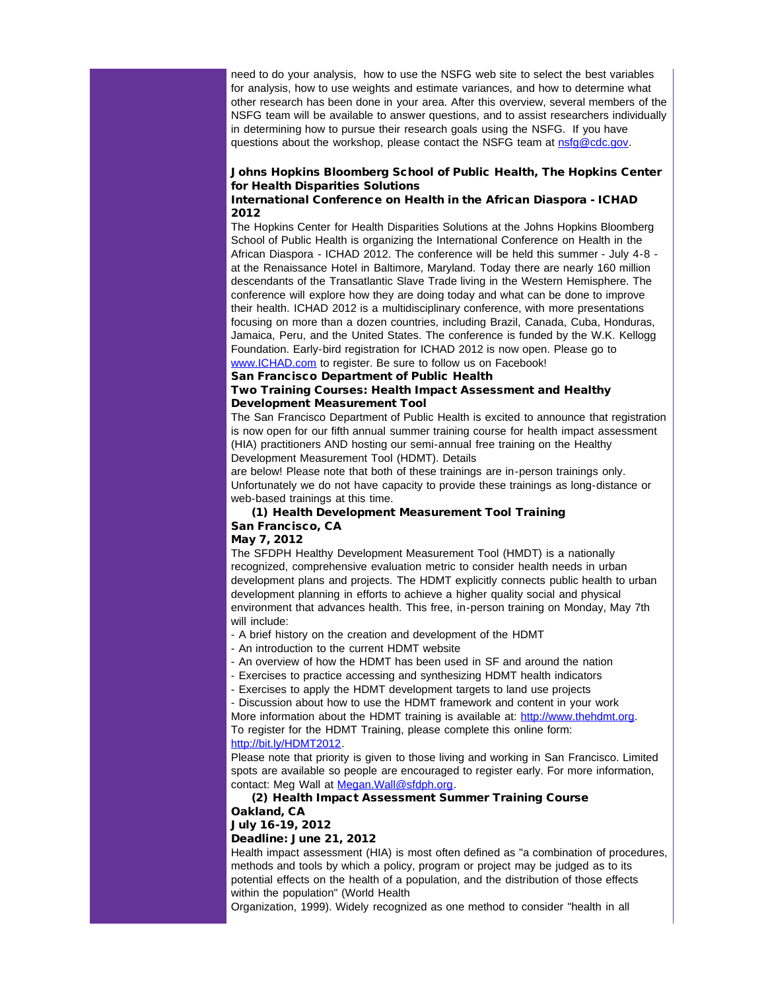need to do your analysis, how to use the NSFG web site to select the best variables for analysis, how to use weights and estimate variances, and how to determine what other research has been done in your area. After this overview, several members of the NSFG team will be available to answer questions, and to assist researchers individually in determining how to pursue their research goals using the NSFG. If you have questions about the workshop, please contact the NSFG team at [nsfg@cdc.gov](mailto:nsfg@cdc.gov).

# Johns Hopkins Bloomberg School of Public Health, The Hopkins Center for Health Disparities Solutions

# International Conference on Health in the African Diaspora - ICHAD 2012

The Hopkins Center for Health Disparities Solutions at the Johns Hopkins Bloomberg School of Public Health is organizing the International Conference on Health in the African Diaspora - ICHAD 2012. The conference will be held this summer - July 4-8 at the Renaissance Hotel in Baltimore, Maryland. Today there are nearly 160 million descendants of the Transatlantic Slave Trade living in the Western Hemisphere. The conference will explore how they are doing today and what can be done to improve their health. ICHAD 2012 is a multidisciplinary conference, with more presentations focusing on more than a dozen countries, including Brazil, Canada, Cuba, Honduras, Jamaica, Peru, and the United States. The conference is funded by the W.K. Kellogg Foundation. Early-bird registration for ICHAD 2012 is now open. Please go to [www.ICHAD.com](http://r20.rs6.net/tn.jsp?t=yorpzpjab.0.gvyxzpjab.5gytkqcab.1&ts=S0753&p=http%3A%2F%2Fwww.ichad.com%2F) to register. Be sure to follow us on Facebook!

#### San Francisco Department of Public Health

# Two Training Courses: Health Impact Assessment and Healthy Development Measurement Tool

The San Francisco Department of Public Health is excited to announce that registration is now open for our fifth annual summer training course for health impact assessment (HIA) practitioners AND hosting our semi-annual free training on the Healthy Development Measurement Tool (HDMT). Details

are below! Please note that both of these trainings are in-person trainings only. Unfortunately we do not have capacity to provide these trainings as long-distance or web-based trainings at this time.

#### (1) Health Development Measurement Tool Training San Francisco, CA

# May 7, 2012

The SFDPH Healthy Development Measurement Tool (HMDT) is a nationally recognized, comprehensive evaluation metric to consider health needs in urban development plans and projects. The HDMT explicitly connects public health to urban development planning in efforts to achieve a higher quality social and physical environment that advances health. This free, in-person training on Monday, May 7th will include:

- A brief history on the creation and development of the HDMT

- An introduction to the current HDMT website

- An overview of how the HDMT has been used in SF and around the nation

- Exercises to practice accessing and synthesizing HDMT health indicators

- Exercises to apply the HDMT development targets to land use projects

- Discussion about how to use the HDMT framework and content in your work More information about the HDMT training is available at: [http://www.thehdmt.org](http://r20.rs6.net/tn.jsp?t=yorpzpjab.0.ivyxzpjab.5gytkqcab.1&ts=S0753&p=http%3A%2F%2Fwww.thehdmt.org%2F). To register for the HDMT Training, please complete this online form:

### [http://bit.ly/HDMT2012](http://r20.rs6.net/tn.jsp?t=yorpzpjab.0.lvyxzpjab.5gytkqcab.1&ts=S0753&p=http%3A%2F%2Fbit.ly%2FHDMT2012).

Please note that priority is given to those living and working in San Francisco. Limited spots are available so people are encouraged to register early. For more information, contact: Meg Wall at [Megan.Wall@sfdph.org.](mailto:MMegan.Wall@sfdph.org)

# (2) Health Impact Assessment Summer Training Course

# Oakland, CA

# July 16-19, 2012

# Deadline: June 21, 2012

Health impact assessment (HIA) is most often defined as "a combination of procedures, methods and tools by which a policy, program or project may be judged as to its potential effects on the health of a population, and the distribution of those effects within the population" (World Health

Organization, 1999). Widely recognized as one method to consider "health in all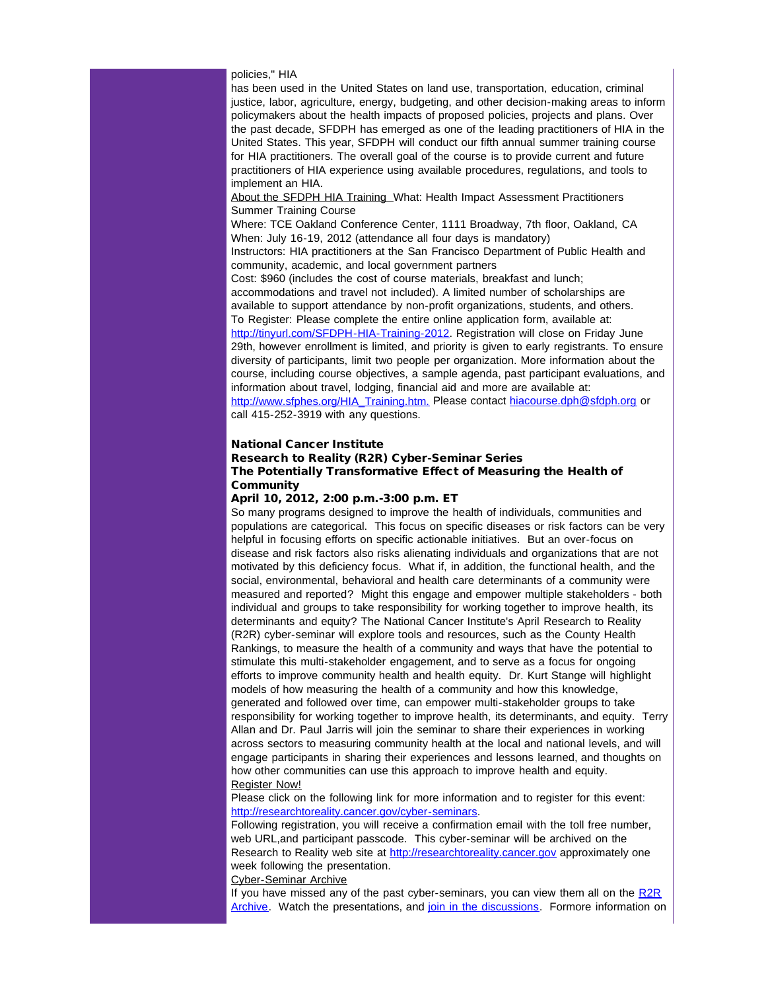#### policies," HIA

has been used in the United States on land use, transportation, education, criminal justice, labor, agriculture, energy, budgeting, and other decision-making areas to inform policymakers about the health impacts of proposed policies, projects and plans. Over the past decade, SFDPH has emerged as one of the leading practitioners of HIA in the United States. This year, SFDPH will conduct our fifth annual summer training course for HIA practitioners. The overall goal of the course is to provide current and future practitioners of HIA experience using available procedures, regulations, and tools to implement an HIA.

About the SFDPH HIA Training What: Health Impact Assessment Practitioners Summer Training Course

Where: TCE Oakland Conference Center, 1111 Broadway, 7th floor, Oakland, CA When: July 16-19, 2012 (attendance all four days is mandatory)

Instructors: HIA practitioners at the San Francisco Department of Public Health and community, academic, and local government partners

Cost: \$960 (includes the cost of course materials, breakfast and lunch; accommodations and travel not included). A limited number of scholarships are available to support attendance by non-profit organizations, students, and others. To Register: Please complete the entire online application form, available at: [http://tinyurl.com/SFDPH-HIA-Training-2012.](http://r20.rs6.net/tn.jsp?t=yorpzpjab.0.mvyxzpjab.5gytkqcab.1&ts=S0753&p=http%3A%2F%2Ftinyurl.com%2FSFDPH-HIA-Training-2012) Registration will close on Friday June 29th, however enrollment is limited, and priority is given to early registrants. To ensure diversity of participants, limit two people per organization. More information about the course, including course objectives, a sample agenda, past participant evaluations, and information about travel, lodging, financial aid and more are available at: [http://www.sfphes.org/HIA\\_Training.htm.](http://r20.rs6.net/tn.jsp?t=yorpzpjab.0.7nuw7ffab.5gytkqcab.1&ts=S0753&p=http%3A%2F%2Fwww.sfphes.org%2FHIA_Training.htm.) Please contact [hiacourse.dph@sfdph.org](mailto:hiacourse.dph@sfdph.org) or call 415-252-3919 with any questions.

#### National Cancer Institute

# Research to Reality (R2R) Cyber-Seminar Series The Potentially Transformative Effect of Measuring the Health of **Community**

# April 10, 2012, 2:00 p.m.-3:00 p.m. ET

So many programs designed to improve the health of individuals, communities and populations are categorical. This focus on specific diseases or risk factors can be very helpful in focusing efforts on specific actionable initiatives. But an over-focus on disease and risk factors also risks alienating individuals and organizations that are not motivated by this deficiency focus. What if, in addition, the functional health, and the social, environmental, behavioral and health care determinants of a community were measured and reported? Might this engage and empower multiple stakeholders - both individual and groups to take responsibility for working together to improve health, its determinants and equity? The National Cancer Institute's April Research to Reality (R2R) cyber-seminar will explore tools and resources, such as the County Health Rankings, to measure the health of a community and ways that have the potential to stimulate this multi-stakeholder engagement, and to serve as a focus for ongoing efforts to improve community health and health equity. Dr. Kurt Stange will highlight models of how measuring the health of a community and how this knowledge, generated and followed over time, can empower multi-stakeholder groups to take responsibility for working together to improve health, its determinants, and equity. Terry Allan and Dr. Paul Jarris will join the seminar to share their experiences in working across sectors to measuring community health at the local and national levels, and will engage participants in sharing their experiences and lessons learned, and thoughts on how other communities can use this approach to improve health and equity. Register Now!

Please click on the following link for more information and to register for this event: [http://researchtoreality.cancer.gov/cyber-seminars.](http://r20.rs6.net/tn.jsp?t=yorpzpjab.0.pvyxzpjab.5gytkqcab.1&ts=S0753&p=http%3A%2F%2Fresearchtoreality.cancer.gov%2Fcyber-seminars)

Following registration, you will receive a confirmation email with the toll free number, web URL,and participant passcode. This cyber-seminar will be archived on the Research to Reality web site at [http://researchtoreality.cancer.gov](http://r20.rs6.net/tn.jsp?t=yorpzpjab.0.rvyxzpjab.5gytkqcab.1&ts=S0753&p=http%3A%2F%2Fresearchtoreality.cancer.gov%2F) approximately one week following the presentation.

# Cyber-Seminar Archive

If you have missed any of the past cyber-seminars, you can view them all on the [R2R](http://r20.rs6.net/tn.jsp?t=yorpzpjab.0.nqpjscjab.5gytkqcab.1&ts=S0753&p=https%3A%2F%2Fresearchtoreality.cancer.gov%2Fcyber-seminars%2Farchive) [Archive.](http://r20.rs6.net/tn.jsp?t=yorpzpjab.0.nqpjscjab.5gytkqcab.1&ts=S0753&p=https%3A%2F%2Fresearchtoreality.cancer.gov%2Fcyber-seminars%2Farchive) Watch the presentations, and [join in the discussions](http://r20.rs6.net/tn.jsp?t=yorpzpjab.0.oqpjscjab.5gytkqcab.1&ts=S0753&p=https%3A%2F%2Fresearchtoreality.cancer.gov%2Fdiscussions). Formore information on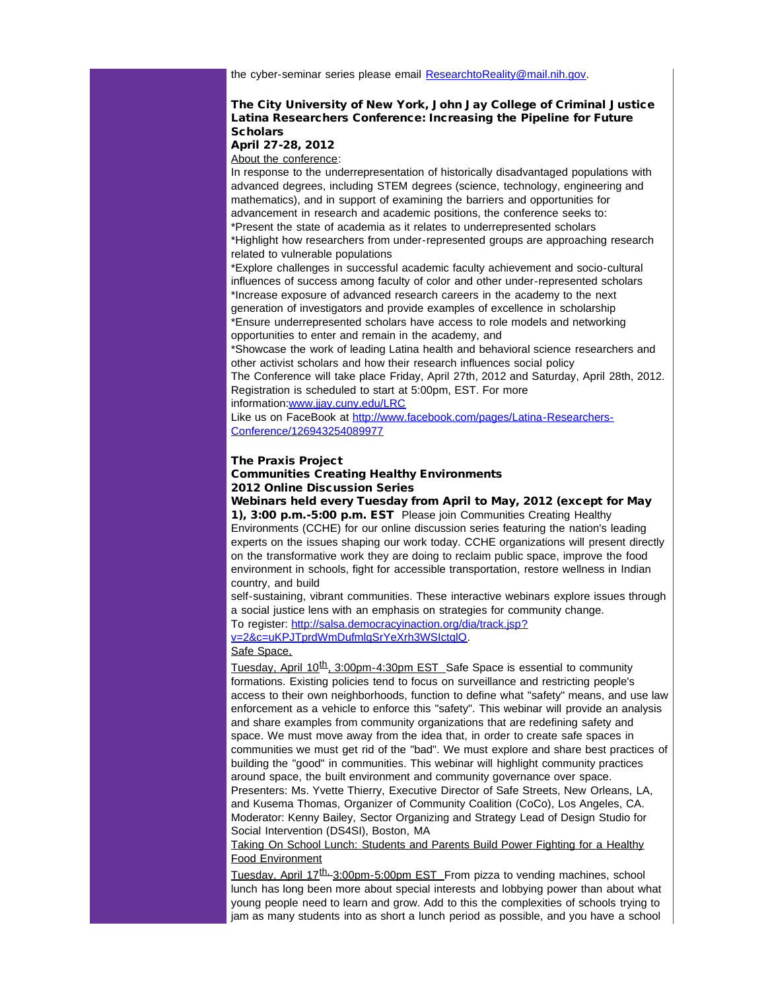the cyber-seminar series please email [ResearchtoReality@mail.nih.gov](mailto:ResearchtoReality@mail.nih.gov).

# The City University of New York, John Jay College of Criminal Justice Latina Researchers Conference: Increasing the Pipeline for Future **Scholars**

April 27-28, 2012

About the conference:

In response to the underrepresentation of historically disadvantaged populations with advanced degrees, including STEM degrees (science, technology, engineering and mathematics), and in support of examining the barriers and opportunities for advancement in research and academic positions, the conference seeks to: \*Present the state of academia as it relates to underrepresented scholars \*Highlight how researchers from under-represented groups are approaching research related to vulnerable populations

\*Explore challenges in successful academic faculty achievement and socio-cultural influences of success among faculty of color and other under-represented scholars \*Increase exposure of advanced research careers in the academy to the next generation of investigators and provide examples of excellence in scholarship \*Ensure underrepresented scholars have access to role models and networking opportunities to enter and remain in the academy, and

\*Showcase the work of leading Latina health and behavioral science researchers and other activist scholars and how their research influences social policy

The Conference will take place Friday, April 27th, 2012 and Saturday, April 28th, 2012. Registration is scheduled to start at 5:00pm, EST. For more

information:[www.jjay.cuny.edu/LRC](http://r20.rs6.net/tn.jsp?t=yorpzpjab.0.svyxzpjab.5gytkqcab.1&ts=S0753&p=http%3A%2F%2Fwww.jjay.cuny.edu%2FLRC)

Like us on FaceBook at [http://www.facebook.com/pages/Latina-Researchers-](http://r20.rs6.net/tn.jsp?t=yorpzpjab.0.vvyxzpjab.5gytkqcab.1&ts=S0753&p=http%3A%2F%2Fwww.facebook.com%2Fpages%2FLatina-Researchers-Conference%2F126943254089977)[Conference/126943254089977](http://r20.rs6.net/tn.jsp?t=yorpzpjab.0.vvyxzpjab.5gytkqcab.1&ts=S0753&p=http%3A%2F%2Fwww.facebook.com%2Fpages%2FLatina-Researchers-Conference%2F126943254089977)

### The Praxis Project

# Communities Creating Healthy Environments 2012 Online Discussion Series

Webinars held every Tuesday from April to May, 2012 (except for May 1), 3:00 p.m.-5:00 p.m. EST Please join Communities Creating Healthy Environments (CCHE) for our online discussion series featuring the nation's leading experts on the issues shaping our work today. CCHE organizations will present directly on the transformative work they are doing to reclaim public space, improve the food

environment in schools, fight for accessible transportation, restore wellness in Indian country, and build self-sustaining, vibrant communities. These interactive webinars explore issues through a social justice lens with an emphasis on strategies for community change.

To register: [http://salsa.democracyinaction.org/dia/track.jsp?](http://r20.rs6.net/tn.jsp?t=yorpzpjab.0.wvyxzpjab.5gytkqcab.1&ts=S0753&p=http%3A%2F%2Fsalsa.democracyinaction.org%2Fdia%2Ftrack.jsp%3Fv%3D2%26c%3DuKPJTprdWmDufmlqSrYeXrh3WSIctqlQ) [v=2&c=uKPJTprdWmDufmlqSrYeXrh3WSIctqlQ.](http://r20.rs6.net/tn.jsp?t=yorpzpjab.0.wvyxzpjab.5gytkqcab.1&ts=S0753&p=http%3A%2F%2Fsalsa.democracyinaction.org%2Fdia%2Ftrack.jsp%3Fv%3D2%26c%3DuKPJTprdWmDufmlqSrYeXrh3WSIctqlQ)

Safe Space,

Tuesday, April 10<sup>th</sup>, 3:00pm-4:30pm EST\_Safe Space is essential to community formations. Existing policies tend to focus on surveillance and restricting people's access to their own neighborhoods, function to define what "safety" means, and use law enforcement as a vehicle to enforce this "safety". This webinar will provide an analysis and share examples from community organizations that are redefining safety and space. We must move away from the idea that, in order to create safe spaces in communities we must get rid of the "bad". We must explore and share best practices of building the "good" in communities. This webinar will highlight community practices around space, the built environment and community governance over space. Presenters: Ms. Yvette Thierry, Executive Director of Safe Streets, New Orleans, LA, and Kusema Thomas, Organizer of Community Coalition (CoCo), Los Angeles, CA. Moderator: Kenny Bailey, Sector Organizing and Strategy Lead of Design Studio for Social Intervention (DS4SI), Boston, MA

Taking On School Lunch: Students and Parents Build Power Fighting for a Healthy Food Environment

Tuesday, April  $17<sup>th</sup>$ -3:00pm-5:00pm EST From pizza to vending machines, school lunch has long been more about special interests and lobbying power than about what young people need to learn and grow. Add to this the complexities of schools trying to jam as many students into as short a lunch period as possible, and you have a school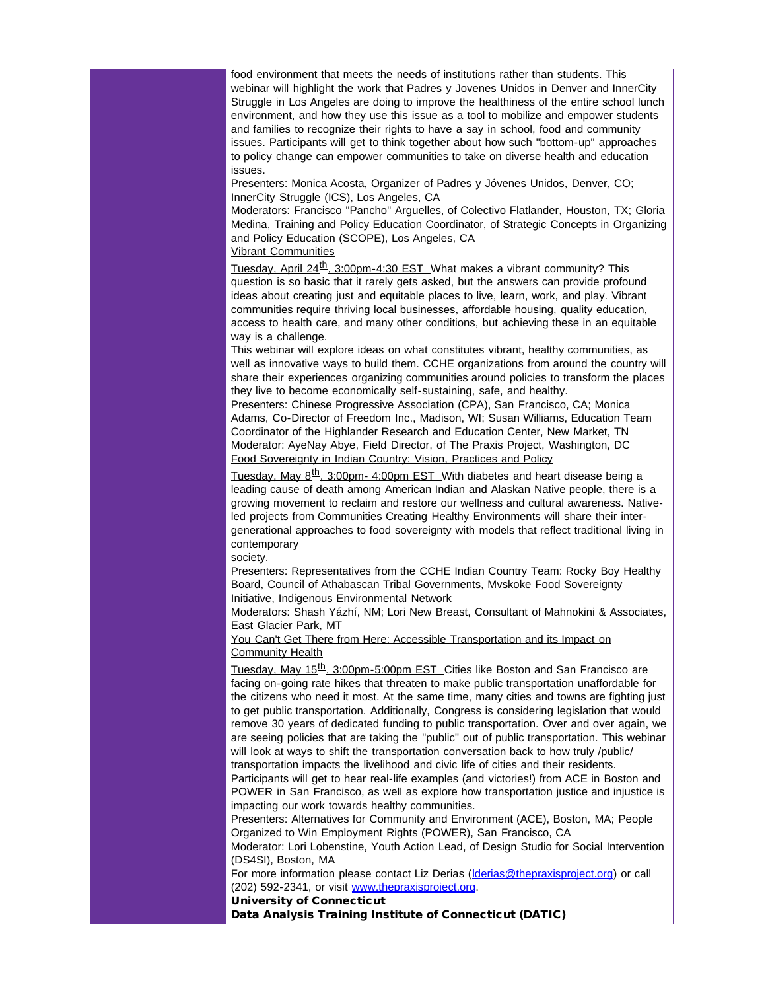food environment that meets the needs of institutions rather than students. This webinar will highlight the work that Padres y Jovenes Unidos in Denver and InnerCity Struggle in Los Angeles are doing to improve the healthiness of the entire school lunch environment, and how they use this issue as a tool to mobilize and empower students and families to recognize their rights to have a say in school, food and community issues. Participants will get to think together about how such "bottom-up" approaches to policy change can empower communities to take on diverse health and education issues.

Presenters: Monica Acosta, Organizer of Padres y Jóvenes Unidos, Denver, CO; InnerCity Struggle (ICS), Los Angeles, CA

Moderators: Francisco "Pancho" Arguelles, of Colectivo Flatlander, Houston, TX; Gloria Medina, Training and Policy Education Coordinator, of Strategic Concepts in Organizing and Policy Education (SCOPE), Los Angeles, CA

# Vibrant Communities

Tuesday, April  $24^{th}$ , 3:00pm-4:30 EST What makes a vibrant community? This question is so basic that it rarely gets asked, but the answers can provide profound ideas about creating just and equitable places to live, learn, work, and play. Vibrant communities require thriving local businesses, affordable housing, quality education, access to health care, and many other conditions, but achieving these in an equitable way is a challenge.

This webinar will explore ideas on what constitutes vibrant, healthy communities, as well as innovative ways to build them. CCHE organizations from around the country will share their experiences organizing communities around policies to transform the places they live to become economically self-sustaining, safe, and healthy.

Presenters: Chinese Progressive Association (CPA), San Francisco, CA; Monica Adams, Co-Director of Freedom Inc., Madison, WI; Susan Williams, Education Team Coordinator of the Highlander Research and Education Center, New Market, TN Moderator: AyeNay Abye, Field Director, of The Praxis Project, Washington, DC Food Sovereignty in Indian Country: Vision, Practices and Policy

Tuesday, May  $8<sup>th</sup>$ , 3:00pm- 4:00pm EST With diabetes and heart disease being a leading cause of death among American Indian and Alaskan Native people, there is a growing movement to reclaim and restore our wellness and cultural awareness. Nativeled projects from Communities Creating Healthy Environments will share their intergenerational approaches to food sovereignty with models that reflect traditional living in contemporary

society.

Presenters: Representatives from the CCHE Indian Country Team: Rocky Boy Healthy Board, Council of Athabascan Tribal Governments, Mvskoke Food Sovereignty Initiative, Indigenous Environmental Network

Moderators: Shash Yázhí, NM; Lori New Breast, Consultant of Mahnokini & Associates, East Glacier Park, MT

You Can't Get There from Here: Accessible Transportation and its Impact on **Community Health** 

Tuesday, May 15<sup>th</sup>, 3:00pm-5:00pm EST\_Cities like Boston and San Francisco are facing on-going rate hikes that threaten to make public transportation unaffordable for the citizens who need it most. At the same time, many cities and towns are fighting just to get public transportation. Additionally, Congress is considering legislation that would remove 30 years of dedicated funding to public transportation. Over and over again, we are seeing policies that are taking the "public" out of public transportation. This webinar will look at ways to shift the transportation conversation back to how truly /public/ transportation impacts the livelihood and civic life of cities and their residents.

Participants will get to hear real-life examples (and victories!) from ACE in Boston and POWER in San Francisco, as well as explore how transportation justice and injustice is impacting our work towards healthy communities.

Presenters: Alternatives for Community and Environment (ACE), Boston, MA; People Organized to Win Employment Rights (POWER), San Francisco, CA

Moderator: Lori Lobenstine, Youth Action Lead, of Design Studio for Social Intervention (DS4SI), Boston, MA

For more information please contact Liz Derias (Iderias@thepraxisproject.org) or call (202) 592-2341, or visit [www.thepraxisproject.org](http://r20.rs6.net/tn.jsp?t=yorpzpjab.0.t9yhtjdab.5gytkqcab.1&ts=S0753&p=http%3A%2F%2Fwww.thepraxisproject.org%2F).

University of Connecticut

Data Analysis Training Institute of Connecticut (DATIC)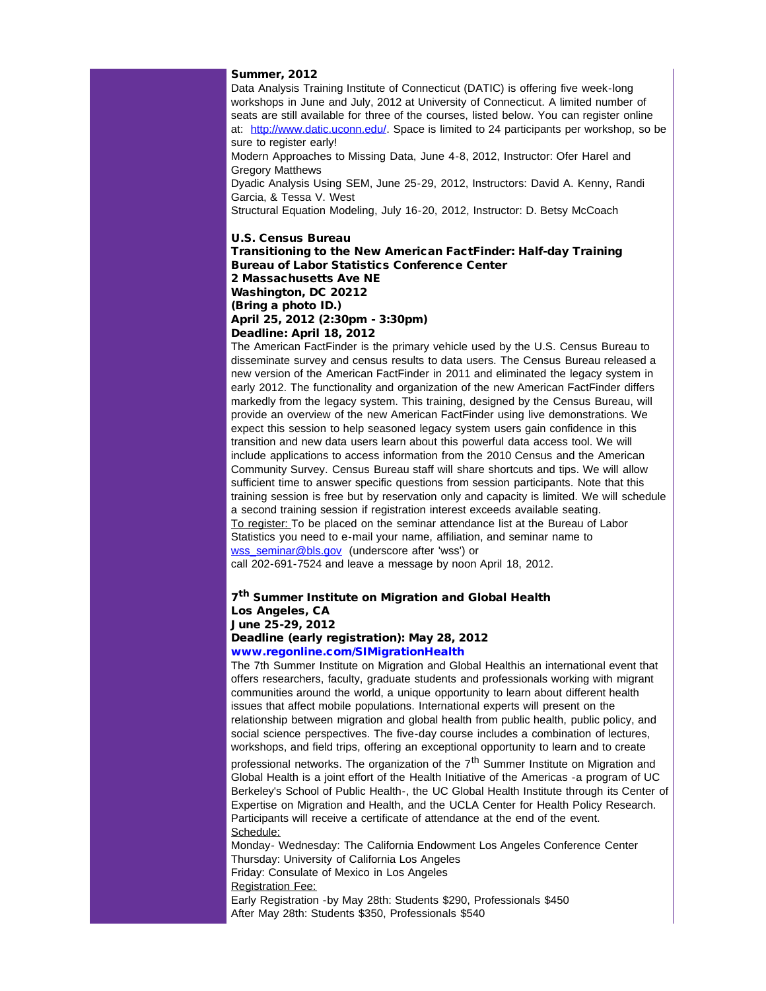#### Summer, 2012

Data Analysis Training Institute of Connecticut (DATIC) is offering five week-long workshops in June and July, 2012 at University of Connecticut. A limited number of seats are still available for three of the courses, listed below. You can register online at: [http://www.datic.uconn.edu/](http://r20.rs6.net/tn.jsp?et=1109622784655&s=1015&e=001c3iitatgx3U5tDBqmJw3P1RdUxh67S-jP7Gcd93t9WYedvFxfWMieytTH3GK9Nlj8gHB1fpv_KMlK-OEbLV5o1NIQttjWBHkyhDdfUVcoGgsBxcgS3FrZg==). Space is limited to 24 participants per workshop, so be sure to register early!

Modern Approaches to Missing Data, June 4-8, 2012, Instructor: Ofer Harel and Gregory Matthews

Dyadic Analysis Using SEM, June 25-29, 2012, Instructors: David A. Kenny, Randi Garcia, & Tessa V. West

Structural Equation Modeling, July 16-20, 2012, Instructor: D. Betsy McCoach

### U.S. Census Bureau

Transitioning to the New American FactFinder: Half-day Training Bureau of Labor Statistics Conference Center 2 Massachusetts Ave NE Washington, DC 20212 (Bring a photo ID.)

April 25, 2012 (2:30pm - 3:30pm) Deadline: April 18, 2012

The American FactFinder is the primary vehicle used by the U.S. Census Bureau to disseminate survey and census results to data users. The Census Bureau released a new version of the American FactFinder in 2011 and eliminated the legacy system in early 2012. The functionality and organization of the new American FactFinder differs markedly from the legacy system. This training, designed by the Census Bureau, will provide an overview of the new American FactFinder using live demonstrations. We expect this session to help seasoned legacy system users gain confidence in this transition and new data users learn about this powerful data access tool. We will include applications to access information from the 2010 Census and the American Community Survey. Census Bureau staff will share shortcuts and tips. We will allow sufficient time to answer specific questions from session participants. Note that this training session is free but by reservation only and capacity is limited. We will schedule a second training session if registration interest exceeds available seating. To register: To be placed on the seminar attendance list at the Bureau of Labor Statistics you need to e-mail your name, affiliation, and seminar name to [wss\\_seminar@bls.gov](mailto:wss_seminar@bls.gov) (underscore after 'wss') or

call 202-691-7524 and leave a message by noon April 18, 2012.

# 7<sup>th</sup> Summer Institute on Migration and Global Health Los Angeles, CA

June 25-29, 2012

### Deadline (early registration): May 28, 2012 www.regonline.com/SIMigrationHealth

The 7th Summer Institute on Migration and Global Healthis an international event that offers researchers, faculty, graduate students and professionals working with migrant communities around the world, a unique opportunity to learn about different health issues that affect mobile populations. International experts will present on the relationship between migration and global health from public health, public policy, and social science perspectives. The five-day course includes a combination of lectures, workshops, and field trips, offering an exceptional opportunity to learn and to create

professional networks. The organization of the  $7<sup>th</sup>$  Summer Institute on Migration and Global Health is a joint effort of the Health Initiative of the Americas -a program of UC Berkeley's School of Public Health-, the UC Global Health Institute through its Center of Expertise on Migration and Health, and the UCLA Center for Health Policy Research. Participants will receive a certificate of attendance at the end of the event. Schedule:

Monday- Wednesday: The California Endowment Los Angeles Conference Center Thursday: University of California Los Angeles Friday: Consulate of Mexico in Los Angeles Registration Fee: Early Registration -by May 28th: Students \$290, Professionals \$450 After May 28th: Students \$350, Professionals \$540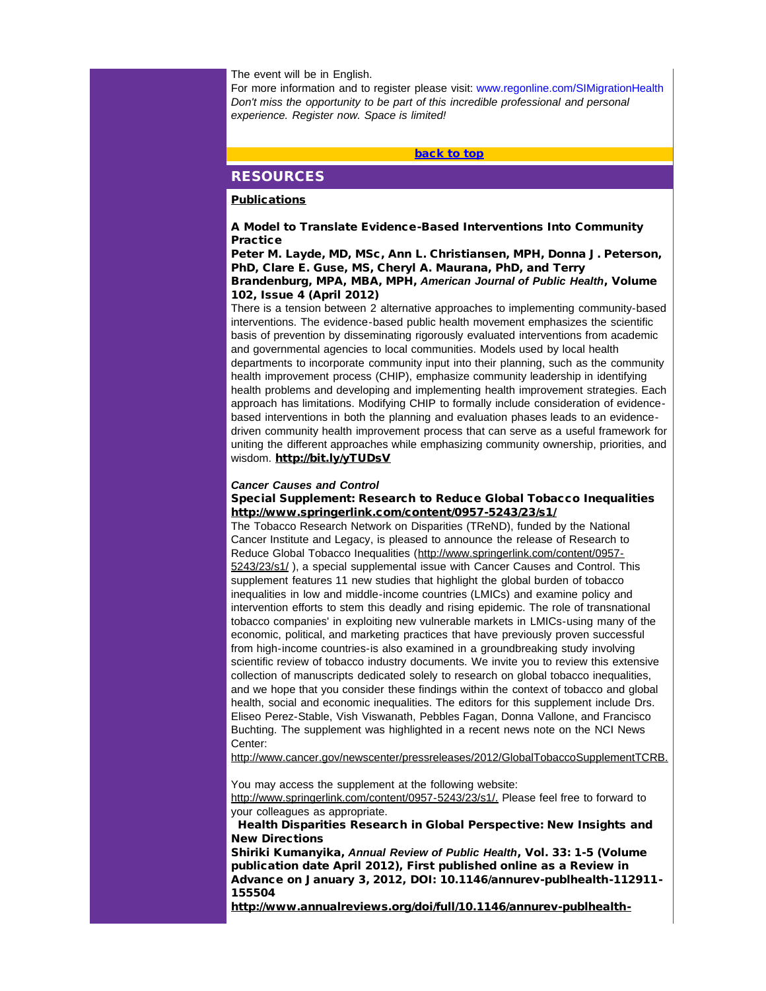<span id="page-27-0"></span>The event will be in English.

For more information and to register please visit: www.regonline.com/SIMigrationHealth *Don't miss the opportunity to be part of this incredible professional and personal experience. Register now. Space is limited!*

### [back to top](#page-0-1)

# RESOURCES

# **Publications**

### A Model to Translate Evidence-Based Interventions Into Community Practice

Peter M. Layde, MD, MSc, Ann L. Christiansen, MPH, Donna J. Peterson, PhD, Clare E. Guse, MS, Cheryl A. Maurana, PhD, and Terry Brandenburg, MPA, MBA, MPH, *American Journal of Public Health*, Volume 102, Issue 4 (April 2012)

There is a tension between 2 alternative approaches to implementing community-based interventions. The evidence-based public health movement emphasizes the scientific basis of prevention by disseminating rigorously evaluated interventions from academic and governmental agencies to local communities. Models used by local health departments to incorporate community input into their planning, such as the community health improvement process (CHIP), emphasize community leadership in identifying health problems and developing and implementing health improvement strategies. Each approach has limitations. Modifying CHIP to formally include consideration of evidencebased interventions in both the planning and evaluation phases leads to an evidencedriven community health improvement process that can serve as a useful framework for uniting the different approaches while emphasizing community ownership, priorities, and wisdom. [http://bit.ly/yTUDsV](http://r20.rs6.net/tn.jsp?t=yorpzpjab.0.xvyxzpjab.5gytkqcab.1&ts=S0753&p=http%3A%2F%2Fbit.ly%2FyTUDsV)

#### *Cancer Causes and Control*

### Special Supplement: Research to Reduce Global Tobacco Inequalities [http://www.springerlink.com/content/0957-5243/23/s1/](http://r20.rs6.net/tn.jsp?t=yorpzpjab.0.yvyxzpjab.5gytkqcab.1&ts=S0753&p=http%3A%2F%2Fwww.springerlink.com%2Fcontent%2F0957-5243%2F23%2Fs1%2F)

The Tobacco Research Network on Disparities (TReND), funded by the National Cancer Institute and Legacy, is pleased to announce the release of Research to Reduce Global Tobacco Inequalities ([http://www.springerlink.com/content/0957-](http://r20.rs6.net/tn.jsp?t=yorpzpjab.0.yvyxzpjab.5gytkqcab.1&ts=S0753&p=http%3A%2F%2Fwww.springerlink.com%2Fcontent%2F0957-5243%2F23%2Fs1%2F) [5243/23/s1/](http://r20.rs6.net/tn.jsp?t=yorpzpjab.0.yvyxzpjab.5gytkqcab.1&ts=S0753&p=http%3A%2F%2Fwww.springerlink.com%2Fcontent%2F0957-5243%2F23%2Fs1%2F) ), a special supplemental issue with Cancer Causes and Control. This supplement features 11 new studies that highlight the global burden of tobacco inequalities in low and middle-income countries (LMICs) and examine policy and intervention efforts to stem this deadly and rising epidemic. The role of transnational tobacco companies' in exploiting new vulnerable markets in LMICs-using many of the economic, political, and marketing practices that have previously proven successful from high-income countries-is also examined in a groundbreaking study involving scientific review of tobacco industry documents. We invite you to review this extensive collection of manuscripts dedicated solely to research on global tobacco inequalities, and we hope that you consider these findings within the context of tobacco and global health, social and economic inequalities. The editors for this supplement include Drs. Eliseo Perez-Stable, Vish Viswanath, Pebbles Fagan, Donna Vallone, and Francisco Buchting. The supplement was highlighted in a recent news note on the NCI News Center:

[http://www.cancer.gov/newscenter/pressreleases/2012/GlobalTobaccoSupplementTCRB.](http://r20.rs6.net/tn.jsp?t=yorpzpjab.0.zvyxzpjab.5gytkqcab.1&ts=S0753&p=http%3A%2F%2Fwww.cancer.gov%2Fnewscenter%2Fpressreleases%2F2012%2FGlobalTobaccoSupplementTCRB.)

You may access the supplement at the following website: [http://www.springerlink.com/content/0957-5243/23/s1/.](http://r20.rs6.net/tn.jsp?t=yorpzpjab.0.yvyxzpjab.5gytkqcab.1&ts=S0753&p=http%3A%2F%2Fwww.springerlink.com%2Fcontent%2F0957-5243%2F23%2Fs1%2F) Please feel free to forward to your colleagues as appropriate. Health Disparities Research in Global Perspective: New Insights and

New Directions

Shiriki Kumanyika, *Annual Review of Public Health*, Vol. 33: 1-5 (Volume publication date April 2012), First published online as a Review in Advance on January 3, 2012, DOI: 10.1146/annurev-publhealth-112911- 155504

[http://www.annualreviews.org/doi/full/10.1146/annurev-publhealth-](http://r20.rs6.net/tn.jsp?t=yorpzpjab.0.9vyxzpjab.5gytkqcab.1&ts=S0753&p=http%3A%2F%2Fwww.annualreviews.org%2Fdoi%2Ffull%2F10.1146%2Fannurev-publhealth-112911-155504)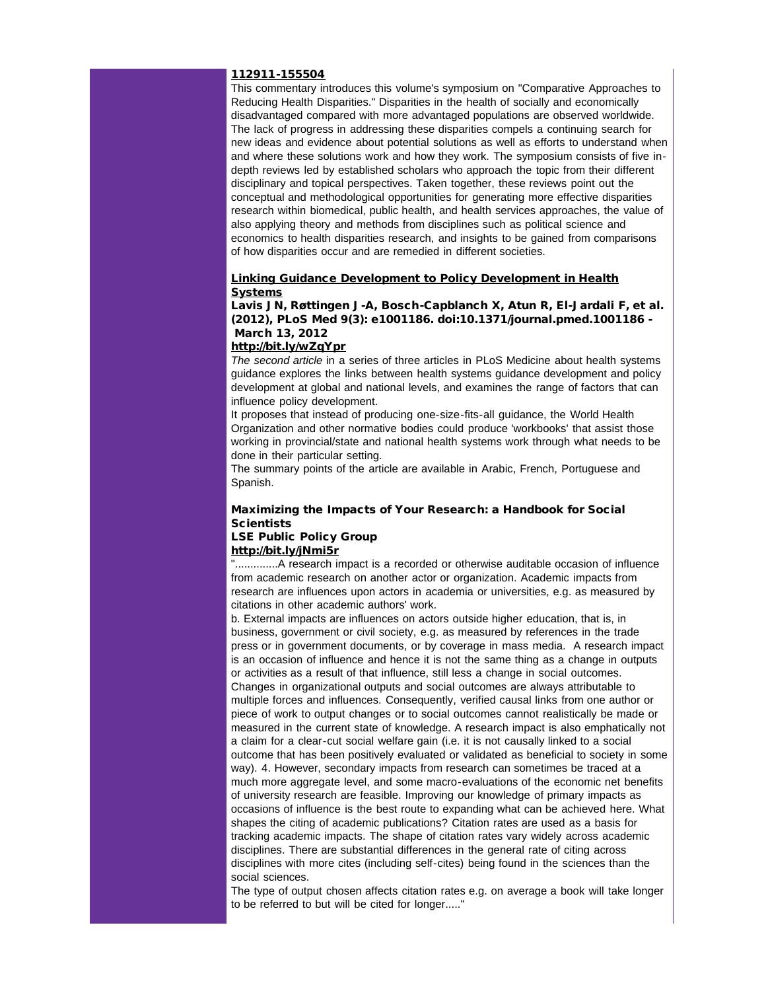### [112911-155504](http://r20.rs6.net/tn.jsp?t=yorpzpjab.0.9vyxzpjab.5gytkqcab.1&ts=S0753&p=http%3A%2F%2Fwww.annualreviews.org%2Fdoi%2Ffull%2F10.1146%2Fannurev-publhealth-112911-155504)

This commentary introduces this volume's symposium on "Comparative Approaches to Reducing Health Disparities." Disparities in the health of socially and economically disadvantaged compared with more advantaged populations are observed worldwide. The lack of progress in addressing these disparities compels a continuing search for new ideas and evidence about potential solutions as well as efforts to understand when and where these solutions work and how they work. The symposium consists of five indepth reviews led by established scholars who approach the topic from their different disciplinary and topical perspectives. Taken together, these reviews point out the conceptual and methodological opportunities for generating more effective disparities research within biomedical, public health, and health services approaches, the value of also applying theory and methods from disciplines such as political science and economics to health disparities research, and insights to be gained from comparisons of how disparities occur and are remedied in different societies.

# [Linking Guidance Development to Policy Development in Health](http://r20.rs6.net/tn.jsp?t=yorpzpjab.0.8vyxzpjab.5gytkqcab.1&ts=S0753&p=http%3A%2F%2Fwww.plosmedicine.org%2Farticle%2Finfo%253Adoi%252F10.1371%252Fjournal.pmed.1001186) **[Systems](http://r20.rs6.net/tn.jsp?t=yorpzpjab.0.8vyxzpjab.5gytkqcab.1&ts=S0753&p=http%3A%2F%2Fwww.plosmedicine.org%2Farticle%2Finfo%253Adoi%252F10.1371%252Fjournal.pmed.1001186)**

Lavis JN, Røttingen J-A, Bosch-Capblanch X, Atun R, El-Jardali F, et al. (2012), PLoS Med 9(3): e1001186. doi:10.1371/journal.pmed.1001186 - March 13, 2012

### [http://bit.ly/wZqYpr](http://r20.rs6.net/tn.jsp?t=yorpzpjab.0.6vyxzpjab.5gytkqcab.1&ts=S0753&p=http%3A%2F%2Fbit.ly%2FwZqYpr)

*The second article* in a series of three articles in PLoS Medicine about health systems guidance explores the links between health systems guidance development and policy development at global and national levels, and examines the range of factors that can influence policy development.

It proposes that instead of producing one-size-fits-all guidance, the World Health Organization and other normative bodies could produce 'workbooks' that assist those working in provincial/state and national health systems work through what needs to be done in their particular setting.

The summary points of the article are available in Arabic, French, Portuguese and Spanish.

# Maximizing the Impacts of Your Research: a Handbook for Social **Scientists**

# LSE Public Policy Group [http://bit.ly/jNmi5r](http://r20.rs6.net/tn.jsp?t=yorpzpjab.0.s58dzqgab.5gytkqcab.1&ts=S0753&p=http%3A%2F%2Fbit.ly%2FjNmi5r)

"..............A research impact is a recorded or otherwise auditable occasion of influence from academic research on another actor or organization. Academic impacts from research are influences upon actors in academia or universities, e.g. as measured by citations in other academic authors' work.

b. External impacts are influences on actors outside higher education, that is, in business, government or civil society, e.g. as measured by references in the trade press or in government documents, or by coverage in mass media. A research impact is an occasion of influence and hence it is not the same thing as a change in outputs or activities as a result of that influence, still less a change in social outcomes. Changes in organizational outputs and social outcomes are always attributable to multiple forces and influences. Consequently, verified causal links from one author or piece of work to output changes or to social outcomes cannot realistically be made or measured in the current state of knowledge. A research impact is also emphatically not a claim for a clear-cut social welfare gain (i.e. it is not causally linked to a social outcome that has been positively evaluated or validated as beneficial to society in some way). 4. However, secondary impacts from research can sometimes be traced at a much more aggregate level, and some macro-evaluations of the economic net benefits of university research are feasible. Improving our knowledge of primary impacts as occasions of influence is the best route to expanding what can be achieved here. What shapes the citing of academic publications? Citation rates are used as a basis for tracking academic impacts. The shape of citation rates vary widely across academic disciplines. There are substantial differences in the general rate of citing across disciplines with more cites (including self-cites) being found in the sciences than the social sciences.

The type of output chosen affects citation rates e.g. on average a book will take longer to be referred to but will be cited for longer....."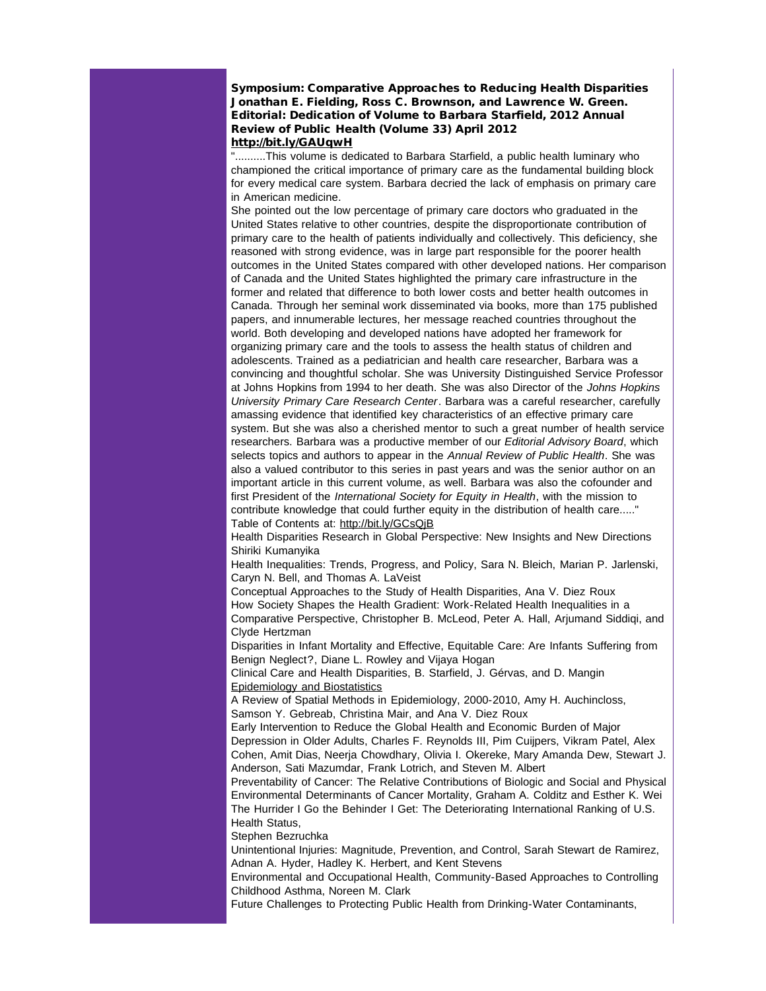## Symposium: Comparative Approaches to Reducing Health Disparities Jonathan E. Fielding, Ross C. Brownson, and Lawrence W. Green. Editorial: Dedication of Volume to Barbara Starfield, 2012 Annual Review of Public Health (Volume 33) April 2012 [http://bit.ly/GAUqwH](http://r20.rs6.net/tn.jsp?t=yorpzpjab.0.4vyxzpjab.5gytkqcab.1&ts=S0753&p=http%3A%2F%2Fbit.ly%2FGAUqwH)

"..........This volume is dedicated to Barbara Starfield, a public health luminary who championed the critical importance of primary care as the fundamental building block for every medical care system. Barbara decried the lack of emphasis on primary care in American medicine.

She pointed out the low percentage of primary care doctors who graduated in the United States relative to other countries, despite the disproportionate contribution of primary care to the health of patients individually and collectively. This deficiency, she reasoned with strong evidence, was in large part responsible for the poorer health outcomes in the United States compared with other developed nations. Her comparison of Canada and the United States highlighted the primary care infrastructure in the former and related that difference to both lower costs and better health outcomes in Canada. Through her seminal work disseminated via books, more than 175 published papers, and innumerable lectures, her message reached countries throughout the world. Both developing and developed nations have adopted her framework for organizing primary care and the tools to assess the health status of children and adolescents. Trained as a pediatrician and health care researcher, Barbara was a convincing and thoughtful scholar. She was University Distinguished Service Professor at Johns Hopkins from 1994 to her death. She was also Director of the *Johns Hopkins University Primary Care Research Center*. Barbara was a careful researcher, carefully amassing evidence that identified key characteristics of an effective primary care system. But she was also a cherished mentor to such a great number of health service researchers. Barbara was a productive member of our *Editorial Advisory Board*, which selects topics and authors to appear in the *Annual Review of Public Health*. She was also a valued contributor to this series in past years and was the senior author on an important article in this current volume, as well. Barbara was also the cofounder and first President of the *International Society for Equity in Health*, with the mission to contribute knowledge that could further equity in the distribution of health care....." Table of Contents at: [http://bit.ly/GCsQjB](http://r20.rs6.net/tn.jsp?t=yorpzpjab.0.awyxzpjab.5gytkqcab.1&ts=S0753&p=http%3A%2F%2Fbit.ly%2FGCsQjB)

Health Disparities Research in Global Perspective: New Insights and New Directions Shiriki Kumanyika

Health Inequalities: Trends, Progress, and Policy, Sara N. Bleich, Marian P. Jarlenski, Caryn N. Bell, and Thomas A. LaVeist

Conceptual Approaches to the Study of Health Disparities, Ana V. Diez Roux How Society Shapes the Health Gradient: Work-Related Health Inequalities in a Comparative Perspective, Christopher B. McLeod, Peter A. Hall, Arjumand Siddiqi, and Clyde Hertzman

Disparities in Infant Mortality and Effective, Equitable Care: Are Infants Suffering from Benign Neglect?, Diane L. Rowley and Vijaya Hogan

Clinical Care and Health Disparities, B. Starfield, J. Gérvas, and D. Mangin Epidemiology and Biostatistics

A Review of Spatial Methods in Epidemiology, 2000-2010, Amy H. Auchincloss, Samson Y. Gebreab, Christina Mair, and Ana V. Diez Roux

Early Intervention to Reduce the Global Health and Economic Burden of Major Depression in Older Adults, Charles F. Reynolds III, Pim Cuijpers, Vikram Patel, Alex Cohen, Amit Dias, Neerja Chowdhary, Olivia I. Okereke, Mary Amanda Dew, Stewart J. Anderson, Sati Mazumdar, Frank Lotrich, and Steven M. Albert

Preventability of Cancer: The Relative Contributions of Biologic and Social and Physical Environmental Determinants of Cancer Mortality, Graham A. Colditz and Esther K. Wei The Hurrider I Go the Behinder I Get: The Deteriorating International Ranking of U.S. Health Status,

Stephen Bezruchka

Unintentional Injuries: Magnitude, Prevention, and Control, Sarah Stewart de Ramirez, Adnan A. Hyder, Hadley K. Herbert, and Kent Stevens

Environmental and Occupational Health, Community-Based Approaches to Controlling Childhood Asthma, Noreen M. Clark

Future Challenges to Protecting Public Health from Drinking-Water Contaminants,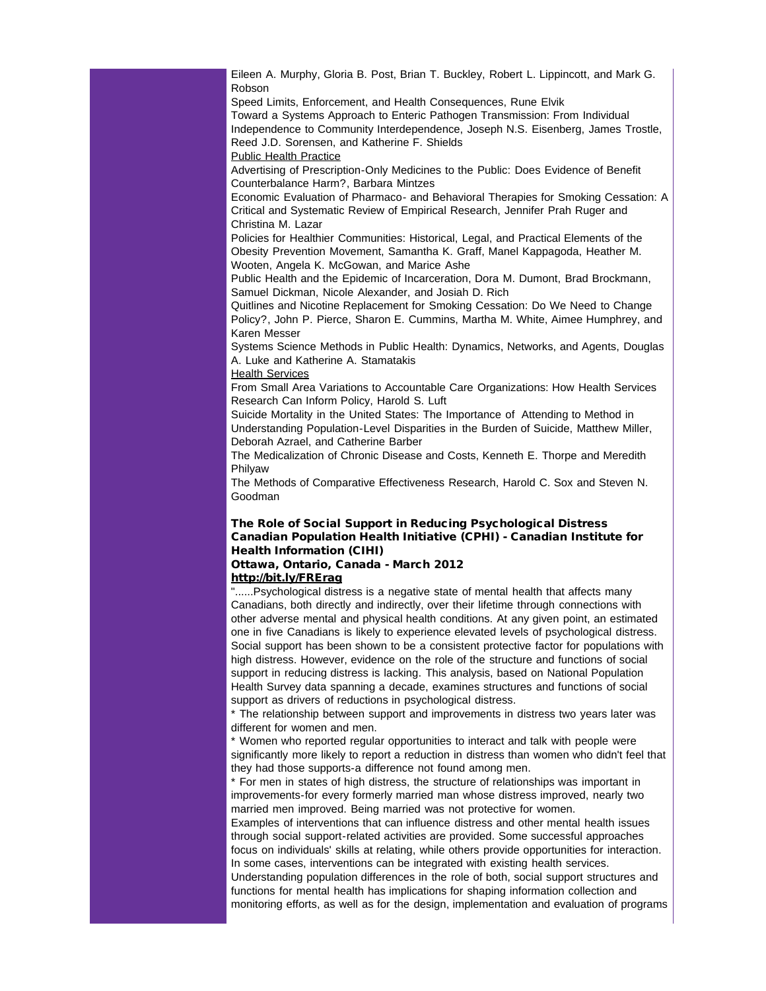Eileen A. Murphy, Gloria B. Post, Brian T. Buckley, Robert L. Lippincott, and Mark G. Robson

Speed Limits, Enforcement, and Health Consequences, Rune Elvik Toward a Systems Approach to Enteric Pathogen Transmission: From Individual Independence to Community Interdependence, Joseph N.S. Eisenberg, James Trostle, Reed J.D. Sorensen, and Katherine F. Shields

Public Health Practice

Advertising of Prescription-Only Medicines to the Public: Does Evidence of Benefit Counterbalance Harm?, Barbara Mintzes

Economic Evaluation of Pharmaco- and Behavioral Therapies for Smoking Cessation: A Critical and Systematic Review of Empirical Research, Jennifer Prah Ruger and Christina M. Lazar

Policies for Healthier Communities: Historical, Legal, and Practical Elements of the Obesity Prevention Movement, Samantha K. Graff, Manel Kappagoda, Heather M. Wooten, Angela K. McGowan, and Marice Ashe

Public Health and the Epidemic of Incarceration, Dora M. Dumont, Brad Brockmann, Samuel Dickman, Nicole Alexander, and Josiah D. Rich

Quitlines and Nicotine Replacement for Smoking Cessation: Do We Need to Change Policy?, John P. Pierce, Sharon E. Cummins, Martha M. White, Aimee Humphrey, and Karen Messer

Systems Science Methods in Public Health: Dynamics, Networks, and Agents, Douglas A. Luke and Katherine A. Stamatakis

### Health Services

From Small Area Variations to Accountable Care Organizations: How Health Services Research Can Inform Policy, Harold S. Luft

Suicide Mortality in the United States: The Importance of Attending to Method in Understanding Population-Level Disparities in the Burden of Suicide, Matthew Miller, Deborah Azrael, and Catherine Barber

The Medicalization of Chronic Disease and Costs, Kenneth E. Thorpe and Meredith Philyaw

The Methods of Comparative Effectiveness Research, Harold C. Sox and Steven N. Goodman

# The Role of Social Support in Reducing Psychological Distress Canadian Population Health Initiative (CPHI) - Canadian Institute for Health Information (CIHI)

# Ottawa, Ontario, Canada - March 2012

# [http://bit.ly/FRErag](http://r20.rs6.net/tn.jsp?t=yorpzpjab.0.bwyxzpjab.5gytkqcab.1&ts=S0753&p=http%3A%2F%2Fbit.ly%2FFRErag)

"......Psychological distress is a negative state of mental health that affects many Canadians, both directly and indirectly, over their lifetime through connections with other adverse mental and physical health conditions. At any given point, an estimated one in five Canadians is likely to experience elevated levels of psychological distress. Social support has been shown to be a consistent protective factor for populations with high distress. However, evidence on the role of the structure and functions of social support in reducing distress is lacking. This analysis, based on National Population Health Survey data spanning a decade, examines structures and functions of social support as drivers of reductions in psychological distress.

\* The relationship between support and improvements in distress two years later was different for women and men.

\* Women who reported regular opportunities to interact and talk with people were significantly more likely to report a reduction in distress than women who didn't feel that they had those supports-a difference not found among men.

\* For men in states of high distress, the structure of relationships was important in improvements-for every formerly married man whose distress improved, nearly two married men improved. Being married was not protective for women.

Examples of interventions that can influence distress and other mental health issues through social support-related activities are provided. Some successful approaches focus on individuals' skills at relating, while others provide opportunities for interaction. In some cases, interventions can be integrated with existing health services.

Understanding population differences in the role of both, social support structures and functions for mental health has implications for shaping information collection and monitoring efforts, as well as for the design, implementation and evaluation of programs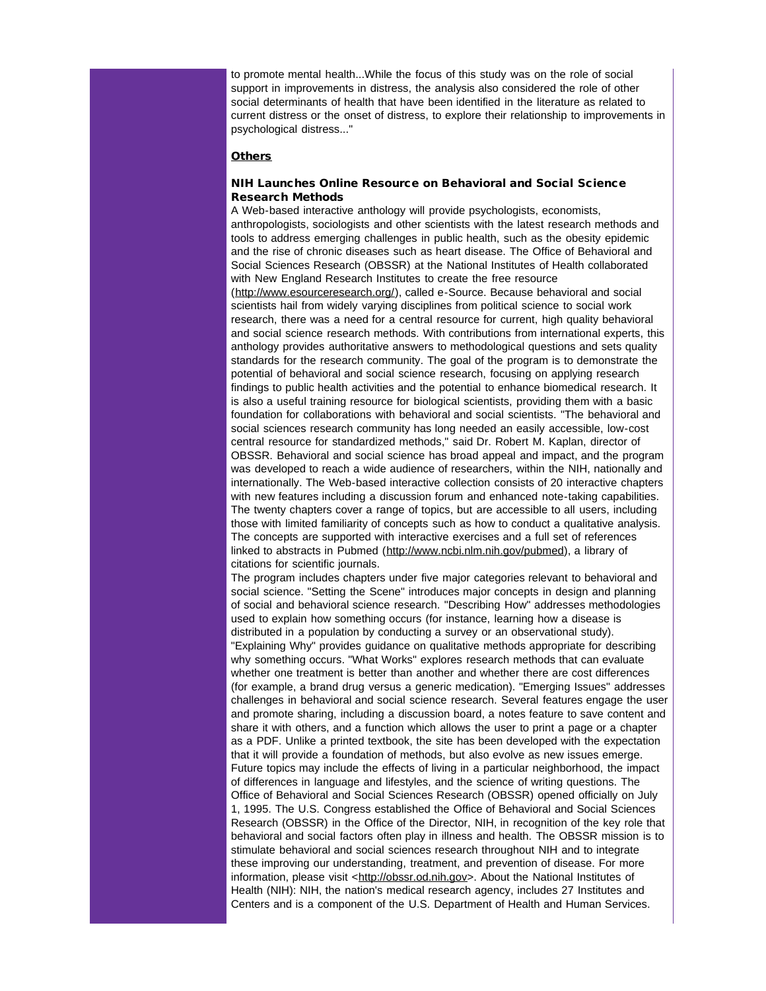to promote mental health...While the focus of this study was on the role of social support in improvements in distress, the analysis also considered the role of other social determinants of health that have been identified in the literature as related to current distress or the onset of distress, to explore their relationship to improvements in psychological distress..."

### **Others**

# NIH Launches Online Resource on Behavioral and Social Science Research Methods

A Web-based interactive anthology will provide psychologists, economists, anthropologists, sociologists and other scientists with the latest research methods and tools to address emerging challenges in public health, such as the obesity epidemic and the rise of chronic diseases such as heart disease. The Office of Behavioral and Social Sciences Research (OBSSR) at the National Institutes of Health collaborated with New England Research Institutes to create the free resource ([http://www.esourceresearch.org/\)](http://r20.rs6.net/tn.jsp?t=yorpzpjab.0.wqrmfgdab.5gytkqcab.1&ts=S0753&p=http%3A%2F%2Fwww.esourceresearch.org%2F), called e-Source. Because behavioral and social scientists hail from widely varying disciplines from political science to social work research, there was a need for a central resource for current, high quality behavioral and social science research methods. With contributions from international experts, this anthology provides authoritative answers to methodological questions and sets quality standards for the research community. The goal of the program is to demonstrate the potential of behavioral and social science research, focusing on applying research findings to public health activities and the potential to enhance biomedical research. It is also a useful training resource for biological scientists, providing them with a basic foundation for collaborations with behavioral and social scientists. "The behavioral and social sciences research community has long needed an easily accessible, low-cost central resource for standardized methods," said Dr. Robert M. Kaplan, director of OBSSR. Behavioral and social science has broad appeal and impact, and the program was developed to reach a wide audience of researchers, within the NIH, nationally and internationally. The Web-based interactive collection consists of 20 interactive chapters with new features including a discussion forum and enhanced note-taking capabilities. The twenty chapters cover a range of topics, but are accessible to all users, including those with limited familiarity of concepts such as how to conduct a qualitative analysis. The concepts are supported with interactive exercises and a full set of references linked to abstracts in Pubmed ([http://www.ncbi.nlm.nih.gov/pubmed](http://r20.rs6.net/tn.jsp?t=yorpzpjab.0.cwyxzpjab.5gytkqcab.1&ts=S0753&p=http%3A%2F%2Fwww.ncbi.nlm.nih.gov%2Fpubmed)), a library of citations for scientific journals.

The program includes chapters under five major categories relevant to behavioral and social science. "Setting the Scene" introduces major concepts in design and planning of social and behavioral science research. "Describing How" addresses methodologies used to explain how something occurs (for instance, learning how a disease is distributed in a population by conducting a survey or an observational study). "Explaining Why" provides guidance on qualitative methods appropriate for describing why something occurs. "What Works" explores research methods that can evaluate whether one treatment is better than another and whether there are cost differences (for example, a brand drug versus a generic medication). "Emerging Issues" addresses challenges in behavioral and social science research. Several features engage the user and promote sharing, including a discussion board, a notes feature to save content and share it with others, and a function which allows the user to print a page or a chapter as a PDF. Unlike a printed textbook, the site has been developed with the expectation that it will provide a foundation of methods, but also evolve as new issues emerge. Future topics may include the effects of living in a particular neighborhood, the impact of differences in language and lifestyles, and the science of writing questions. The Office of Behavioral and Social Sciences Research (OBSSR) opened officially on July 1, 1995. The U.S. Congress established the Office of Behavioral and Social Sciences Research (OBSSR) in the Office of the Director, NIH, in recognition of the key role that behavioral and social factors often play in illness and health. The OBSSR mission is to stimulate behavioral and social sciences research throughout NIH and to integrate these improving our understanding, treatment, and prevention of disease. For more information, please visit <[http://obssr.od.nih.gov>](http://r20.rs6.net/tn.jsp?t=yorpzpjab.0.dts5lwcab.5gytkqcab.1&ts=S0753&p=http%3A%2F%2Fobssr.od.nih.gov%2F). About the National Institutes of Health (NIH): NIH, the nation's medical research agency, includes 27 Institutes and Centers and is a component of the U.S. Department of Health and Human Services.